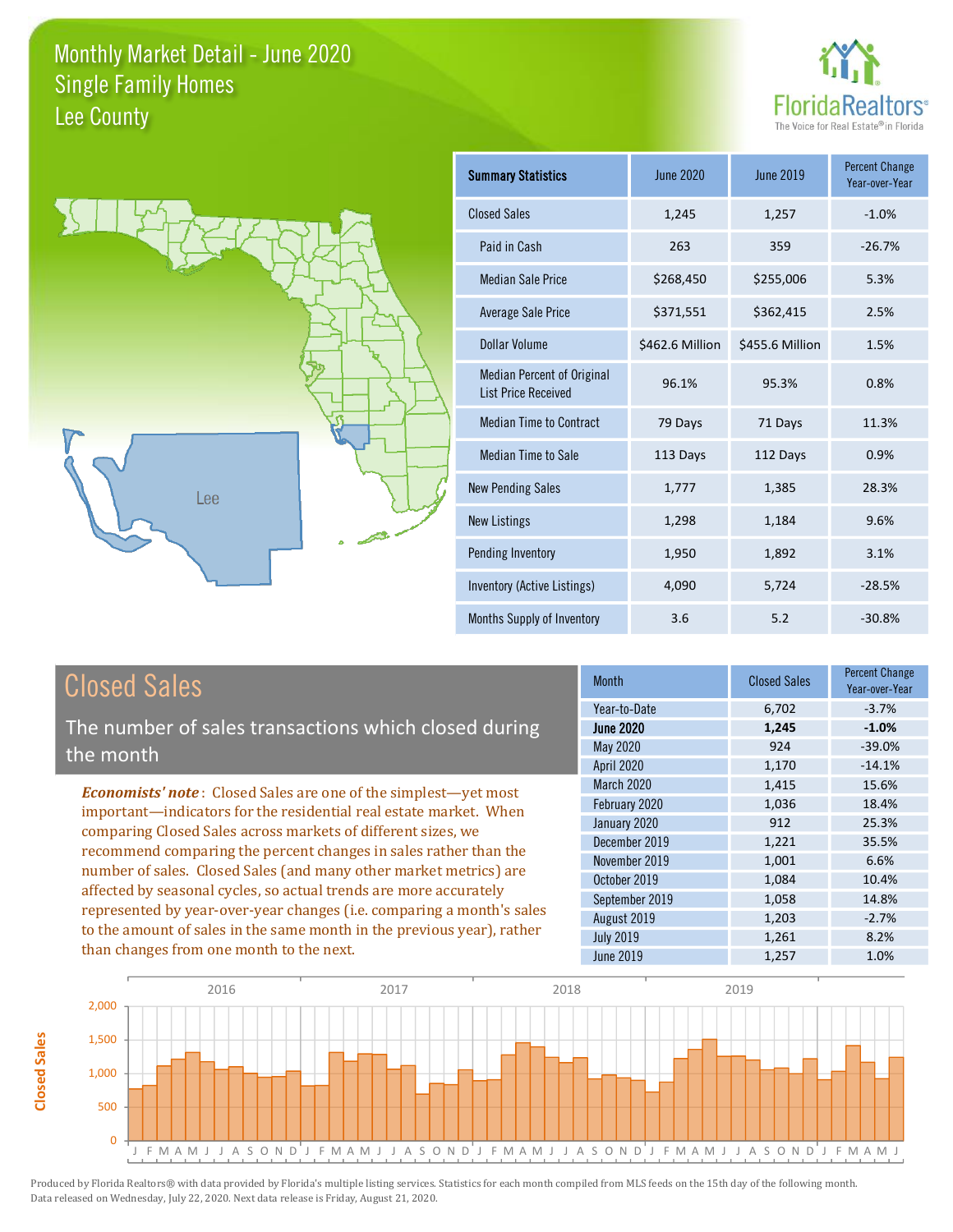



| <b>Summary Statistics</b>                                       | <b>June 2020</b> | <b>June 2019</b> | <b>Percent Change</b><br>Year-over-Year |
|-----------------------------------------------------------------|------------------|------------------|-----------------------------------------|
| <b>Closed Sales</b>                                             | 1,245            | 1,257            | $-1.0%$                                 |
| Paid in Cash                                                    | 263              | 359              | $-26.7%$                                |
| Median Sale Price                                               | \$268,450        | \$255,006        | 5.3%                                    |
| <b>Average Sale Price</b>                                       | \$371,551        | \$362,415        | 2.5%                                    |
| Dollar Volume                                                   | \$462.6 Million  | \$455.6 Million  | 1.5%                                    |
| <b>Median Percent of Original</b><br><b>List Price Received</b> | 96.1%            | 95.3%            | 0.8%                                    |
| <b>Median Time to Contract</b>                                  | 79 Days          | 71 Days          | 11.3%                                   |
| Median Time to Sale                                             | 113 Days         | 112 Days         | 0.9%                                    |
| <b>New Pending Sales</b>                                        | 1,777            | 1,385            | 28.3%                                   |
| <b>New Listings</b>                                             | 1,298            | 1,184            | 9.6%                                    |
| Pending Inventory                                               | 1,950            | 1,892            | 3.1%                                    |
| Inventory (Active Listings)                                     | 4,090            | 5,724            | $-28.5%$                                |
| Months Supply of Inventory                                      | 3.6              | 5.2              | $-30.8%$                                |

### **Closed Sales**

The number of sales transactions which closed during the month

**Economists' note:** Closed Sales are one of the simplest-yet most important-indicators for the residential real estate market. When comparing Closed Sales across markets of different sizes, we recommend comparing the percent changes in sales rather than the number of sales. Closed Sales (and many other market metrics) are affected by seasonal cycles, so actual trends are more accurately represented by year-over-year changes (i.e. comparing a month's sales to the amount of sales in the same month in the previous year), rather than changes from one month to the next.

| <b>Month</b>     | <b>Closed Sales</b> | <b>Percent Change</b><br>Year-over-Year |
|------------------|---------------------|-----------------------------------------|
| Year-to-Date     | 6,702               | $-3.7%$                                 |
| <b>June 2020</b> | 1,245               | $-1.0%$                                 |
| May 2020         | 924                 | $-39.0%$                                |
| April 2020       | 1,170               | $-14.1%$                                |
| March 2020       | 1,415               | 15.6%                                   |
| February 2020    | 1,036               | 18.4%                                   |
| January 2020     | 912                 | 25.3%                                   |
| December 2019    | 1,221               | 35.5%                                   |
| November 2019    | 1,001               | 6.6%                                    |
| October 2019     | 1,084               | 10.4%                                   |
| September 2019   | 1,058               | 14.8%                                   |
| August 2019      | 1,203               | $-2.7%$                                 |
| <b>July 2019</b> | 1,261               | 8.2%                                    |
| <b>June 2019</b> | 1,257               | 1.0%                                    |

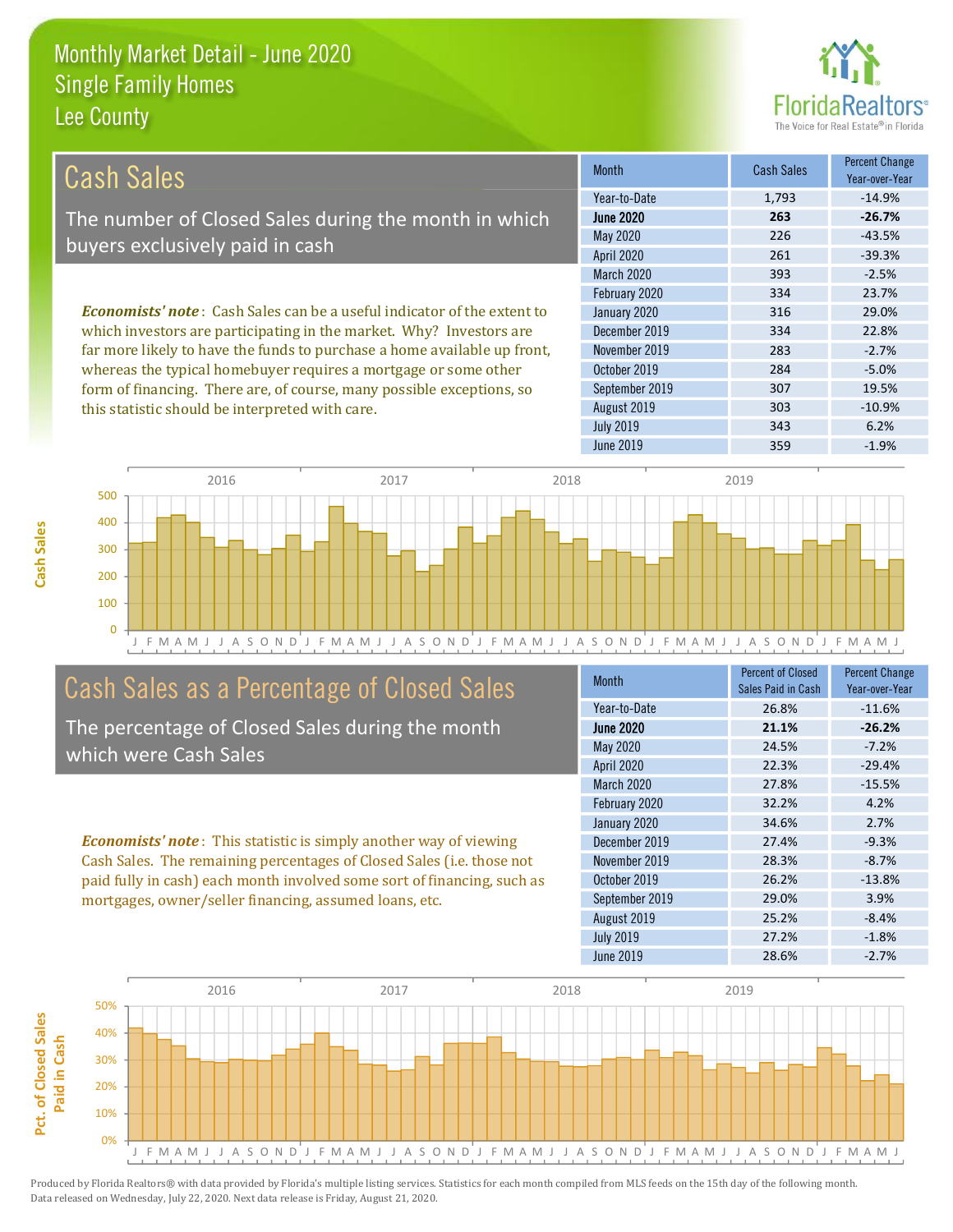this statistic should be interpreted with care.



 $-10.9%$ 

6.2%

| Cash Sales                                                                      | <b>Month</b>      | <b>Cash Sales</b> | <b>Percent Change</b><br>Year-over-Year |
|---------------------------------------------------------------------------------|-------------------|-------------------|-----------------------------------------|
|                                                                                 | Year-to-Date      | 1,793             | $-14.9%$                                |
| The number of Closed Sales during the month in which                            | <b>June 2020</b>  | 263               | $-26.7%$                                |
| buyers exclusively paid in cash                                                 | May 2020          | 226               | $-43.5%$                                |
|                                                                                 | April 2020        | 261               | $-39.3%$                                |
|                                                                                 | <b>March 2020</b> | 393               | $-2.5%$                                 |
|                                                                                 | February 2020     | 334               | 23.7%                                   |
| <b>Economists' note</b> : Cash Sales can be a useful indicator of the extent to | January 2020      | 316               | 29.0%                                   |
| which investors are participating in the market. Why? Investors are             | December 2019     | 334               | 22.8%                                   |
| far more likely to have the funds to purchase a home available up front,        | November 2019     | 283               | $-2.7%$                                 |
| whereas the typical homebuyer requires a mortgage or some other                 | October 2019      | 284               | $-5.0%$                                 |
| form of financing. There are, of course, many possible exceptions, so           | September 2019    | 307               | 19.5%                                   |

August 2019

**July 2019** 



### Cash Sales as a Percentage of Closed Sales

The percentage of Closed Sales during the month which were Cash Sales

**Economists' note:** This statistic is simply another way of viewing Cash Sales. The remaining percentages of Closed Sales (i.e. those not paid fully in cash) each month involved some sort of financing, such as mortgages, owner/seller financing, assumed loans, etc.

| <b>Month</b>      | <b>Percent of Closed</b><br>Sales Paid in Cash | <b>Percent Change</b><br>Year-over-Year |
|-------------------|------------------------------------------------|-----------------------------------------|
| Year-to-Date      | 26.8%                                          | $-11.6%$                                |
| <b>June 2020</b>  | 21.1%                                          | $-26.2%$                                |
| May 2020          | 24.5%                                          | $-7.2%$                                 |
| <b>April 2020</b> | 22.3%                                          | $-29.4%$                                |
| <b>March 2020</b> | 27.8%                                          | $-15.5%$                                |
| February 2020     | 32.2%                                          | 4.2%                                    |
| January 2020      | 34.6%                                          | 2.7%                                    |
| December 2019     | 27.4%                                          | $-9.3%$                                 |
| November 2019     | 28.3%                                          | $-8.7%$                                 |
| October 2019      | 26.2%                                          | $-13.8%$                                |
| September 2019    | 29.0%                                          | 3.9%                                    |
| August 2019       | 25.2%                                          | $-8.4%$                                 |
| <b>July 2019</b>  | 27.2%                                          | $-1.8%$                                 |
| June 2019         | 28.6%                                          | $-2.7%$                                 |

303

343

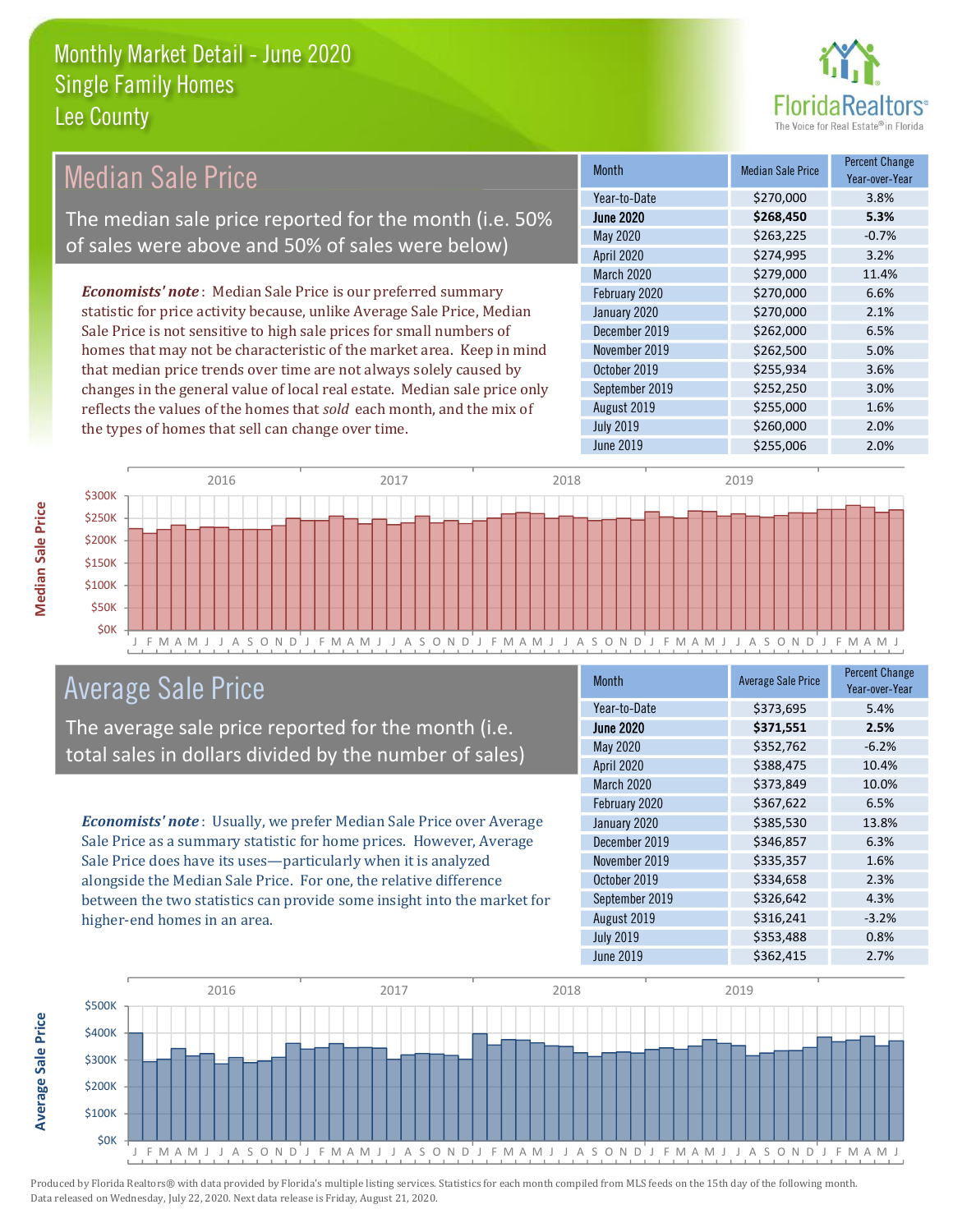

#### **Percent Change Median Sale Price Median Sale Price** Month Year-over-Year Year-to-Date \$270,000 3.8% The median sale price reported for the month (i.e. 50% **June 2020** \$268,450 5.3% May 2020 \$263,225  $-0.7%$ of sales were above and 50% of sales were below) **April 2020** \$274,995 3.2% March 2020 \$279,000 11.4% **Economists' note**: Median Sale Price is our preferred summary February 2020 \$270,000 6.6% statistic for price activity because, unlike Average Sale Price, Median January 2020 \$270,000 2.1% Sale Price is not sensitive to high sale prices for small numbers of December 2019 \$262,000 6.5% homes that may not be characteristic of the market area. Keep in mind November 2019 \$262,500 5.0% that median price trends over time are not always solely caused by October 2019 \$255,934 3.6% 3.0% changes in the general value of local real estate. Median sale price only September 2019 \$252,250 reflects the values of the homes that sold each month, and the mix of August 2019 \$255,000 1.6% **July 2019** \$260,000 2.0% the types of homes that sell can change over time. **June 2019** 2.0% \$255,006



### **Average Sale Price**

The average sale price reported for the month (i.e. total sales in dollars divided by the number of sales)

Economists' note: Usually, we prefer Median Sale Price over Average Sale Price as a summary statistic for home prices. However, Average Sale Price does have its uses-particularly when it is analyzed alongside the Median Sale Price. For one, the relative difference between the two statistics can provide some insight into the market for higher-end homes in an area.

| <b>Month</b>      | <b>Average Sale Price</b> | <b>Percent Change</b><br>Year-over-Year |
|-------------------|---------------------------|-----------------------------------------|
| Year-to-Date      | \$373,695                 | 5.4%                                    |
| <b>June 2020</b>  | \$371,551                 | 2.5%                                    |
| May 2020          | \$352,762                 | $-6.2%$                                 |
| <b>April 2020</b> | \$388,475                 | 10.4%                                   |
| March 2020        | \$373,849                 | 10.0%                                   |
| February 2020     | \$367,622                 | 6.5%                                    |
| January 2020      | \$385,530                 | 13.8%                                   |
| December 2019     | \$346,857                 | 6.3%                                    |
| November 2019     | \$335,357                 | 1.6%                                    |
| October 2019      | \$334,658                 | 2.3%                                    |
| September 2019    | \$326,642                 | 4.3%                                    |
| August 2019       | \$316,241                 | $-3.2%$                                 |
| <b>July 2019</b>  | \$353,488                 | 0.8%                                    |
| <b>June 2019</b>  | \$362,415                 | 2.7%                                    |



**Median Sale Price**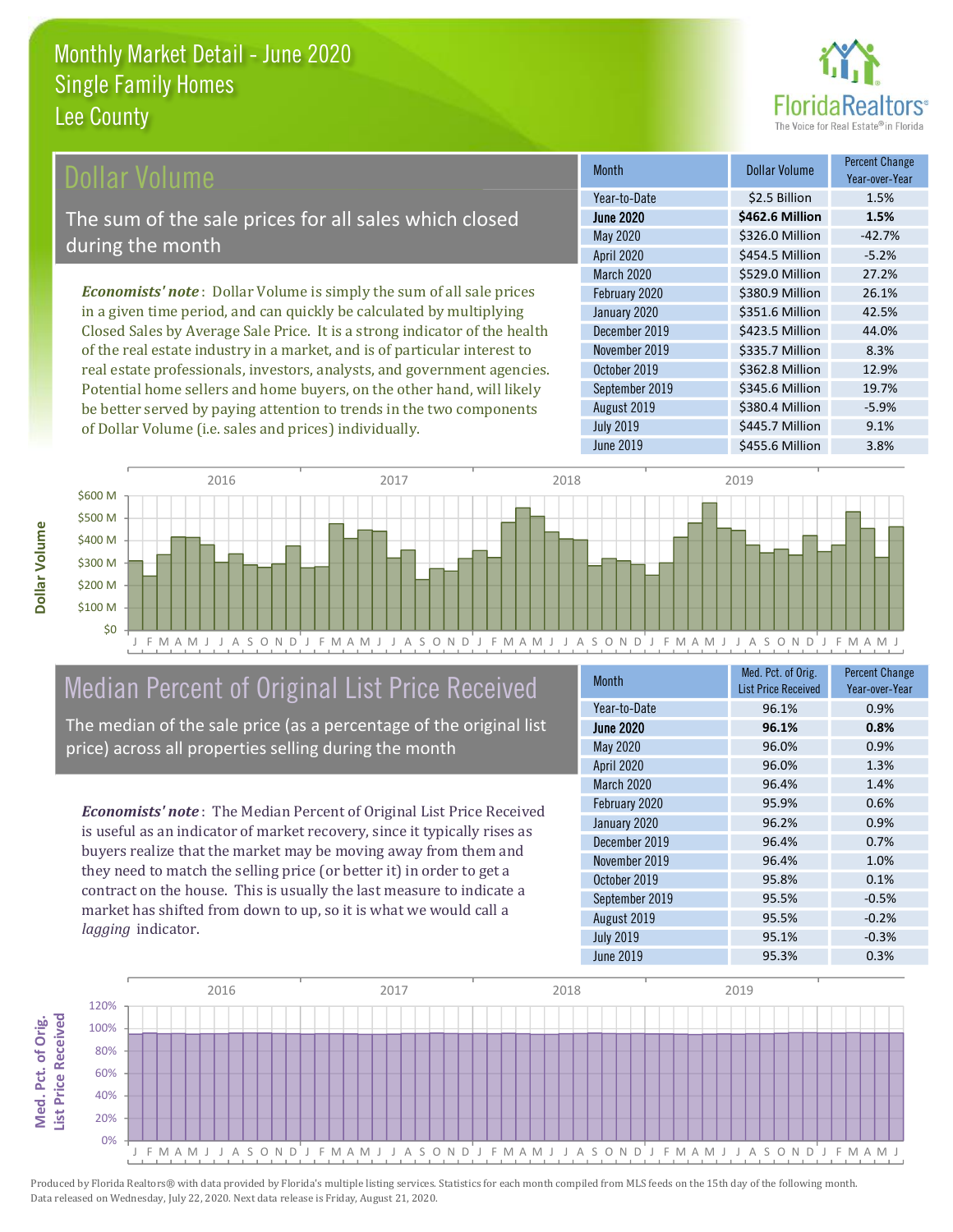

#### ollar Volume

The sum of the sale prices for all sales which closed during the month

**Economists' note**: Dollar Volume is simply the sum of all sale prices in a given time period, and can quickly be calculated by multiplying Closed Sales by Average Sale Price. It is a strong indicator of the health of the real estate industry in a market, and is of particular interest to real estate professionals, investors, analysts, and government agencies. Potential home sellers and home buyers, on the other hand, will likely be better served by paying attention to trends in the two components of Dollar Volume (i.e. sales and prices) individually.

| <b>Month</b>      | Dollar Volume   | <b>Percent Change</b><br>Year-over-Year |
|-------------------|-----------------|-----------------------------------------|
| Year-to-Date      | \$2.5 Billion   | 1.5%                                    |
| <b>June 2020</b>  | \$462.6 Million | 1.5%                                    |
| May 2020          | \$326.0 Million | $-42.7%$                                |
| <b>April 2020</b> | \$454.5 Million | $-5.2%$                                 |
| March 2020        | \$529.0 Million | 27.2%                                   |
| February 2020     | \$380.9 Million | 26.1%                                   |
| January 2020      | \$351.6 Million | 42.5%                                   |
| December 2019     | \$423.5 Million | 44.0%                                   |
| November 2019     | \$335.7 Million | 8.3%                                    |
| October 2019      | \$362.8 Million | 12.9%                                   |
| September 2019    | \$345.6 Million | 19.7%                                   |
| August 2019       | \$380.4 Million | $-5.9%$                                 |
| <b>July 2019</b>  | \$445.7 Million | 9.1%                                    |
| <b>June 2019</b>  | \$455.6 Million | 3.8%                                    |



## Median Percent of Original List Price Received

The median of the sale price (as a percentage of the original list price) across all properties selling during the month

**Economists' note:** The Median Percent of Original List Price Received is useful as an indicator of market recovery, since it typically rises as buyers realize that the market may be moving away from them and they need to match the selling price (or better it) in order to get a contract on the house. This is usually the last measure to indicate a market has shifted from down to up, so it is what we would call a lagging indicator.

| <b>Month</b>      | Med. Pct. of Orig.<br><b>List Price Received</b> | <b>Percent Change</b><br>Year-over-Year |
|-------------------|--------------------------------------------------|-----------------------------------------|
| Year-to-Date      | 96.1%                                            | 0.9%                                    |
| <b>June 2020</b>  | 96.1%                                            | 0.8%                                    |
| May 2020          | 96.0%                                            | 0.9%                                    |
| <b>April 2020</b> | 96.0%                                            | 1.3%                                    |
| March 2020        | 96.4%                                            | 1.4%                                    |
| February 2020     | 95.9%                                            | 0.6%                                    |
| January 2020      | 96.2%                                            | 0.9%                                    |
| December 2019     | 96.4%                                            | 0.7%                                    |
| November 2019     | 96.4%                                            | 1.0%                                    |
| October 2019      | 95.8%                                            | 0.1%                                    |
| September 2019    | 95.5%                                            | $-0.5%$                                 |
| August 2019       | 95.5%                                            | $-0.2%$                                 |
| <b>July 2019</b>  | 95.1%                                            | $-0.3%$                                 |
| <b>June 2019</b>  | 95.3%                                            | 0.3%                                    |

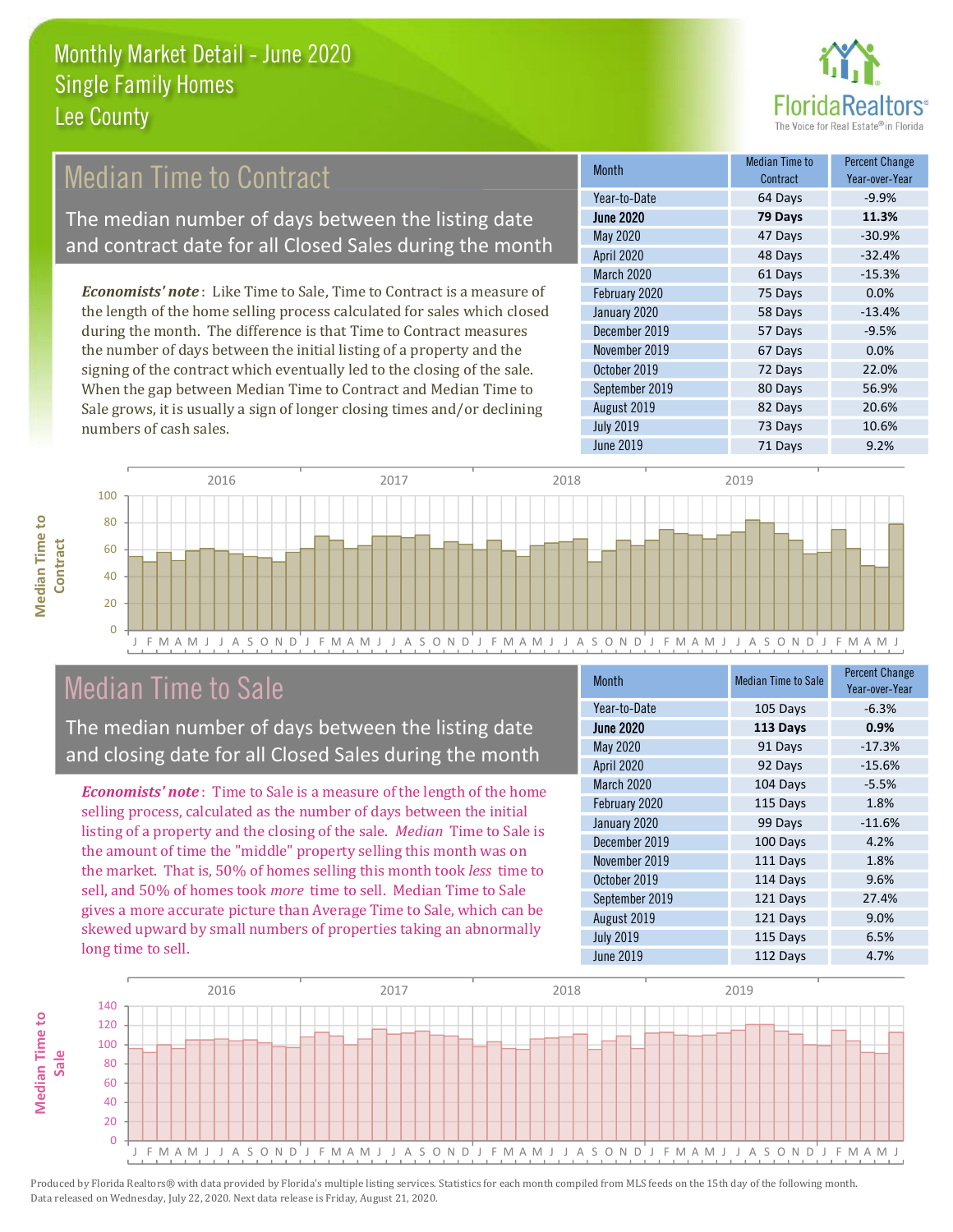

### **Median Time to Contract**

The median number of days between the listing date and contract date for all Closed Sales during the month

**Economists' note**: Like Time to Sale, Time to Contract is a measure of the length of the home selling process calculated for sales which closed during the month. The difference is that Time to Contract measures the number of days between the initial listing of a property and the signing of the contract which eventually led to the closing of the sale. When the gap between Median Time to Contract and Median Time to Sale grows, it is usually a sign of longer closing times and/or declining numbers of cash sales.

| <b>Month</b>     | <b>Median Time to</b><br>Contract | <b>Percent Change</b><br>Year-over-Year |
|------------------|-----------------------------------|-----------------------------------------|
| Year-to-Date     | 64 Days                           | $-9.9%$                                 |
| <b>June 2020</b> | 79 Days                           | 11.3%                                   |
| May 2020         | 47 Days                           | $-30.9%$                                |
| April 2020       | 48 Days                           | $-32.4%$                                |
| March 2020       | 61 Days                           | $-15.3%$                                |
| February 2020    | 75 Days                           | 0.0%                                    |
| January 2020     | 58 Days                           | $-13.4%$                                |
| December 2019    | 57 Days                           | $-9.5%$                                 |
| November 2019    | 67 Days                           | 0.0%                                    |
| October 2019     | 72 Days                           | 22.0%                                   |
| September 2019   | 80 Days                           | 56.9%                                   |
| August 2019      | 82 Days                           | 20.6%                                   |
| <b>July 2019</b> | 73 Days                           | 10.6%                                   |
| <b>June 2019</b> | 71 Days                           | 9.2%                                    |



### **Median Time to Sale**

**Median Time to** 

The median number of days between the listing date and closing date for all Closed Sales during the month

**Economists' note**: Time to Sale is a measure of the length of the home selling process, calculated as the number of days between the initial listing of a property and the closing of the sale. Median Time to Sale is the amount of time the "middle" property selling this month was on the market. That is, 50% of homes selling this month took less time to sell, and 50% of homes took *more* time to sell. Median Time to Sale gives a more accurate picture than Average Time to Sale, which can be skewed upward by small numbers of properties taking an abnormally long time to sell.

| <b>Month</b>      | <b>Median Time to Sale</b> | <b>Percent Change</b><br>Year-over-Year |
|-------------------|----------------------------|-----------------------------------------|
| Year-to-Date      | 105 Days                   | $-6.3%$                                 |
| <b>June 2020</b>  | 113 Days                   | 0.9%                                    |
| May 2020          | 91 Days                    | $-17.3%$                                |
| <b>April 2020</b> | 92 Days                    | $-15.6%$                                |
| March 2020        | 104 Days                   | $-5.5%$                                 |
| February 2020     | 115 Days                   | 1.8%                                    |
| January 2020      | 99 Days                    | $-11.6%$                                |
| December 2019     | 100 Days                   | 4.2%                                    |
| November 2019     | 111 Days                   | 1.8%                                    |
| October 2019      | 114 Days                   | 9.6%                                    |
| September 2019    | 121 Days                   | 27.4%                                   |
| August 2019       | 121 Days                   | 9.0%                                    |
| <b>July 2019</b>  | 115 Days                   | 6.5%                                    |
| June 2019         | 112 Days                   | 4.7%                                    |

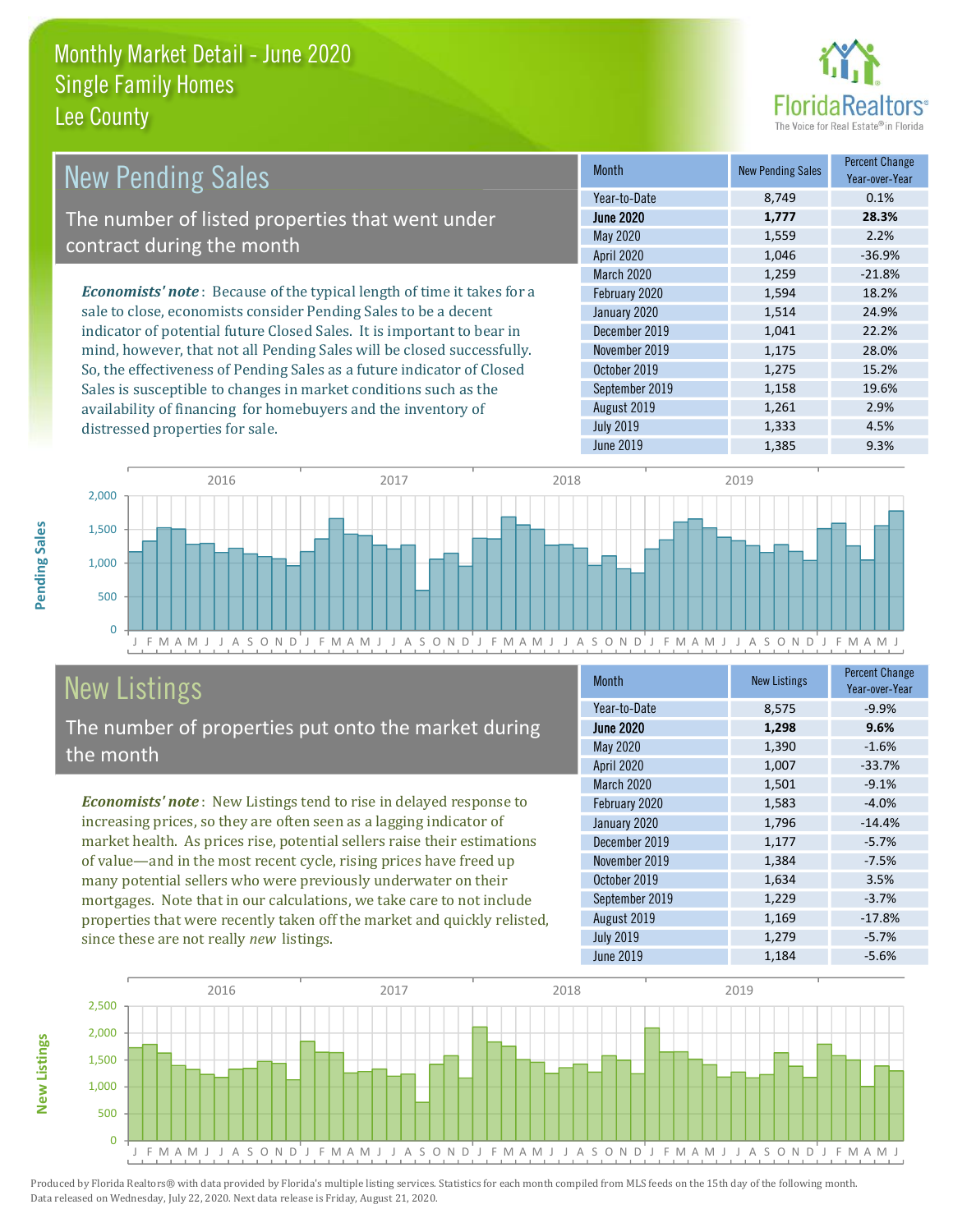distressed properties for sale.



2.9%

4.5%

| <b>New Pending Sales</b>                                                       | <b>Month</b>      | <b>New Pending Sales</b> | <b>Percent Change</b><br>Year-over-Year |
|--------------------------------------------------------------------------------|-------------------|--------------------------|-----------------------------------------|
|                                                                                | Year-to-Date      | 8.749                    | 0.1%                                    |
| The number of listed properties that went under                                | <b>June 2020</b>  | 1,777                    | 28.3%                                   |
| contract during the month                                                      | May 2020          | 1,559                    | 2.2%                                    |
|                                                                                | <b>April 2020</b> | 1,046                    | $-36.9%$                                |
|                                                                                | <b>March 2020</b> | 1.259                    | $-21.8%$                                |
| <b>Economists' note</b> : Because of the typical length of time it takes for a | February 2020     | 1,594                    | 18.2%                                   |
| sale to close, economists consider Pending Sales to be a decent                | January 2020      | 1,514                    | 24.9%                                   |
| indicator of potential future Closed Sales. It is important to bear in         | December 2019     | 1,041                    | 22.2%                                   |
| mind, however, that not all Pending Sales will be closed successfully.         | November 2019     | 1,175                    | 28.0%                                   |
| So, the effectiveness of Pending Sales as a future indicator of Closed         | October 2019      | 1,275                    | 15.2%                                   |
| Sales is susceptible to changes in market conditions such as the               | Sentember 2019    | 1.158                    | 19.6%                                   |

August 2019

**July 2019** 



## **New Listings**

Pending Sales

**New Listings** 

The number of properties put onto the market during the month

availability of financing for homebuyers and the inventory of

Economists' note: New Listings tend to rise in delayed response to increasing prices, so they are often seen as a lagging indicator of market health. As prices rise, potential sellers raise their estimations of value—and in the most recent cycle, rising prices have freed up many potential sellers who were previously underwater on their mortgages. Note that in our calculations, we take care to not include properties that were recently taken off the market and quickly relisted, since these are not really new listings.

| <b>Month</b>     | <b>New Listings</b> | <b>Percent Change</b><br>Year-over-Year |
|------------------|---------------------|-----------------------------------------|
| Year-to-Date     | 8,575               | $-9.9%$                                 |
| <b>June 2020</b> | 1,298               | 9.6%                                    |
| May 2020         | 1,390               | $-1.6%$                                 |
| April 2020       | 1,007               | $-33.7%$                                |
| March 2020       | 1,501               | $-9.1%$                                 |
| February 2020    | 1,583               | $-4.0%$                                 |
| January 2020     | 1,796               | $-14.4%$                                |
| December 2019    | 1,177               | $-5.7%$                                 |
| November 2019    | 1,384               | $-7.5%$                                 |
| October 2019     | 1,634               | 3.5%                                    |
| September 2019   | 1,229               | $-3.7%$                                 |
| August 2019      | 1,169               | $-17.8%$                                |
| <b>July 2019</b> | 1,279               | $-5.7%$                                 |
| June 2019        | 1,184               | $-5.6%$                                 |

1.261

1,333

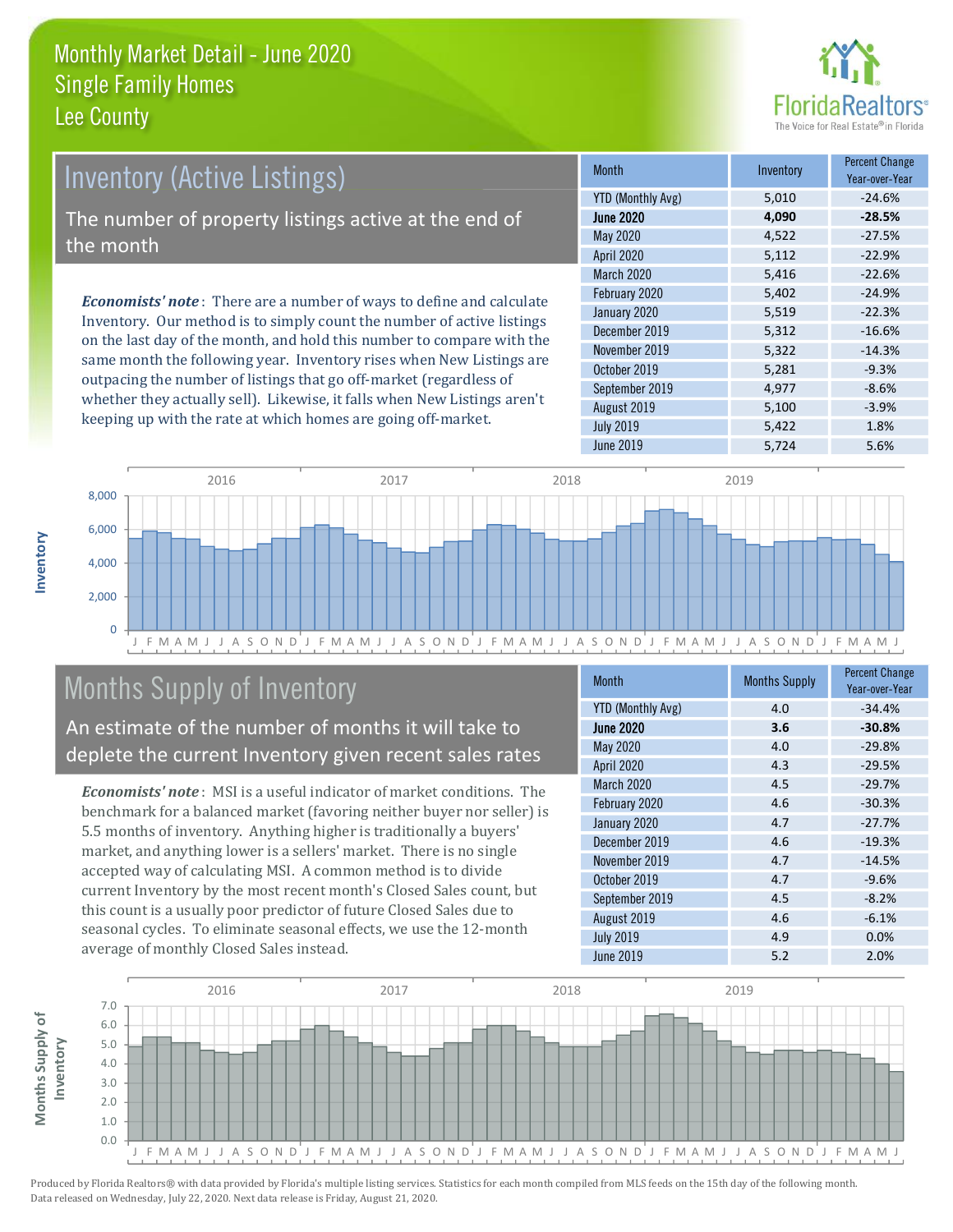

### **Inventory (Active Listings)**

The number of property listings active at the end of the month

**Economists' note:** There are a number of ways to define and calculate Inventory. Our method is to simply count the number of active listings on the last day of the month, and hold this number to compare with the same month the following year. Inventory rises when New Listings are outpacing the number of listings that go off-market (regardless of whether they actually sell). Likewise, it falls when New Listings aren't keeping up with the rate at which homes are going off-market.

| <b>Month</b>             | Inventory | <b>Percent Change</b><br>Year-over-Year |
|--------------------------|-----------|-----------------------------------------|
| <b>YTD (Monthly Avg)</b> | 5,010     | $-24.6%$                                |
| <b>June 2020</b>         | 4,090     | $-28.5%$                                |
| <b>May 2020</b>          | 4,522     | $-27.5%$                                |
| <b>April 2020</b>        | 5,112     | $-22.9%$                                |
| March 2020               | 5,416     | $-22.6%$                                |
| February 2020            | 5,402     | $-24.9%$                                |
| January 2020             | 5,519     | $-22.3%$                                |
| December 2019            | 5,312     | $-16.6%$                                |
| November 2019            | 5,322     | $-14.3%$                                |
| October 2019             | 5,281     | $-9.3%$                                 |
| September 2019           | 4,977     | $-8.6%$                                 |
| August 2019              | 5,100     | $-3.9%$                                 |
| <b>July 2019</b>         | 5,422     | 1.8%                                    |
| <b>June 2019</b>         | 5,724     | 5.6%                                    |



### **Months Supply of Inventory**

An estimate of the number of months it will take to deplete the current Inventory given recent sales rates

**Economists' note**: MSI is a useful indicator of market conditions. The benchmark for a balanced market (favoring neither buyer nor seller) is 5.5 months of inventory. Anything higher is traditionally a buyers' market, and anything lower is a sellers' market. There is no single accepted way of calculating MSI. A common method is to divide current Inventory by the most recent month's Closed Sales count, but this count is a usually poor predictor of future Closed Sales due to seasonal cycles. To eliminate seasonal effects, we use the 12-month average of monthly Closed Sales instead.

| <b>Month</b>             | <b>Months Supply</b> | <b>Percent Change</b><br>Year-over-Year |
|--------------------------|----------------------|-----------------------------------------|
| <b>YTD (Monthly Avg)</b> | 4.0                  | $-34.4%$                                |
| <b>June 2020</b>         | 3.6                  | $-30.8%$                                |
| May 2020                 | 4.0                  | $-29.8%$                                |
| <b>April 2020</b>        | 4.3                  | $-29.5%$                                |
| March 2020               | 4.5                  | $-29.7%$                                |
| February 2020            | 4.6                  | $-30.3%$                                |
| January 2020             | 4.7                  | $-27.7%$                                |
| December 2019            | 4.6                  | $-19.3%$                                |
| November 2019            | 4.7                  | $-14.5%$                                |
| October 2019             | 4.7                  | $-9.6%$                                 |
| September 2019           | 4.5                  | $-8.2%$                                 |
| August 2019              | 4.6                  | $-6.1%$                                 |
| <b>July 2019</b>         | 4.9                  | 0.0%                                    |
| <b>June 2019</b>         | 5.2                  | 2.0%                                    |

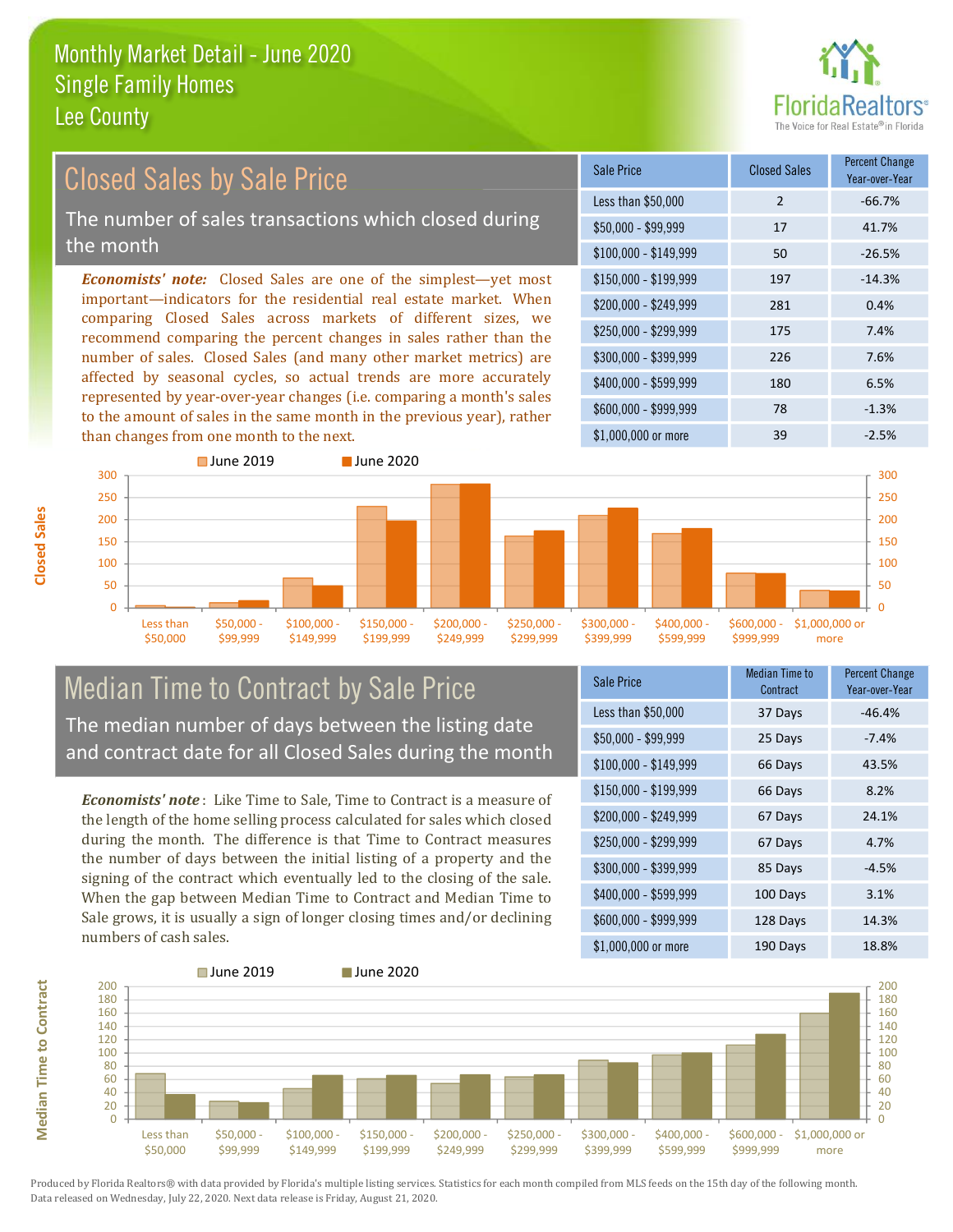

#### **Percent Change Closed Sales by Sale Price Closed Sales** Sale Price Year-over-Year Less than \$50,000  $\overline{2}$  $-66.7%$ The number of sales transactions which closed during  $$50.000 - $99.999$ 17 41.7% the month 50  $-26.5%$  $$100,000 - $149,999$ **Economists' note:** Closed Sales are one of the simplest—yet most \$150,000 - \$199.999 197  $-14.3%$ important-indicators for the residential real estate market. When \$200.000 - \$249.999 281 0.4% comparing Closed Sales across markets of different sizes, we \$250,000 - \$299.999 175 7.4% recommend comparing the percent changes in sales rather than the number of sales. Closed Sales (and many other market metrics) are \$300,000 - \$399,999 226 7.6% affected by seasonal cycles, so actual trends are more accurately \$400,000 - \$599,999 180 6.5% represented by year-over-year changes (i.e. comparing a month's sales \$600.000 - \$999.999 78  $-1.3%$ to the amount of sales in the same month in the previous year), rather than changes from one month to the next. \$1,000,000 or more 39  $-2.5%$



#### **Median Time to Contract by Sale Price** The median number of days between the listing date and contract date for all Closed Sales during the month

**Economists' note**: Like Time to Sale. Time to Contract is a measure of the length of the home selling process calculated for sales which closed during the month. The difference is that Time to Contract measures the number of days between the initial listing of a property and the signing of the contract which eventually led to the closing of the sale. When the gap between Median Time to Contract and Median Time to Sale grows, it is usually a sign of longer closing times and/or declining numbers of cash sales.

| <b>Sale Price</b>     | Median Time to<br>Contract | <b>Percent Change</b><br>Year-over-Year |
|-----------------------|----------------------------|-----------------------------------------|
| Less than \$50,000    | 37 Days                    | $-46.4%$                                |
| $$50,000 - $99,999$   | 25 Days                    | $-7.4%$                                 |
| $$100,000 - $149,999$ | 66 Days                    | 43.5%                                   |
| $$150,000 - $199,999$ | 66 Days                    | 8.2%                                    |
| \$200,000 - \$249,999 | 67 Days                    | 24.1%                                   |
| \$250,000 - \$299,999 | 67 Days                    | 4.7%                                    |
| \$300,000 - \$399,999 | 85 Days                    | $-4.5%$                                 |
| \$400,000 - \$599,999 | 100 Days                   | 3.1%                                    |
| \$600,000 - \$999,999 | 128 Days                   | 14.3%                                   |
| \$1,000,000 or more   | 190 Davs                   | 18.8%                                   |



**Closed Sales**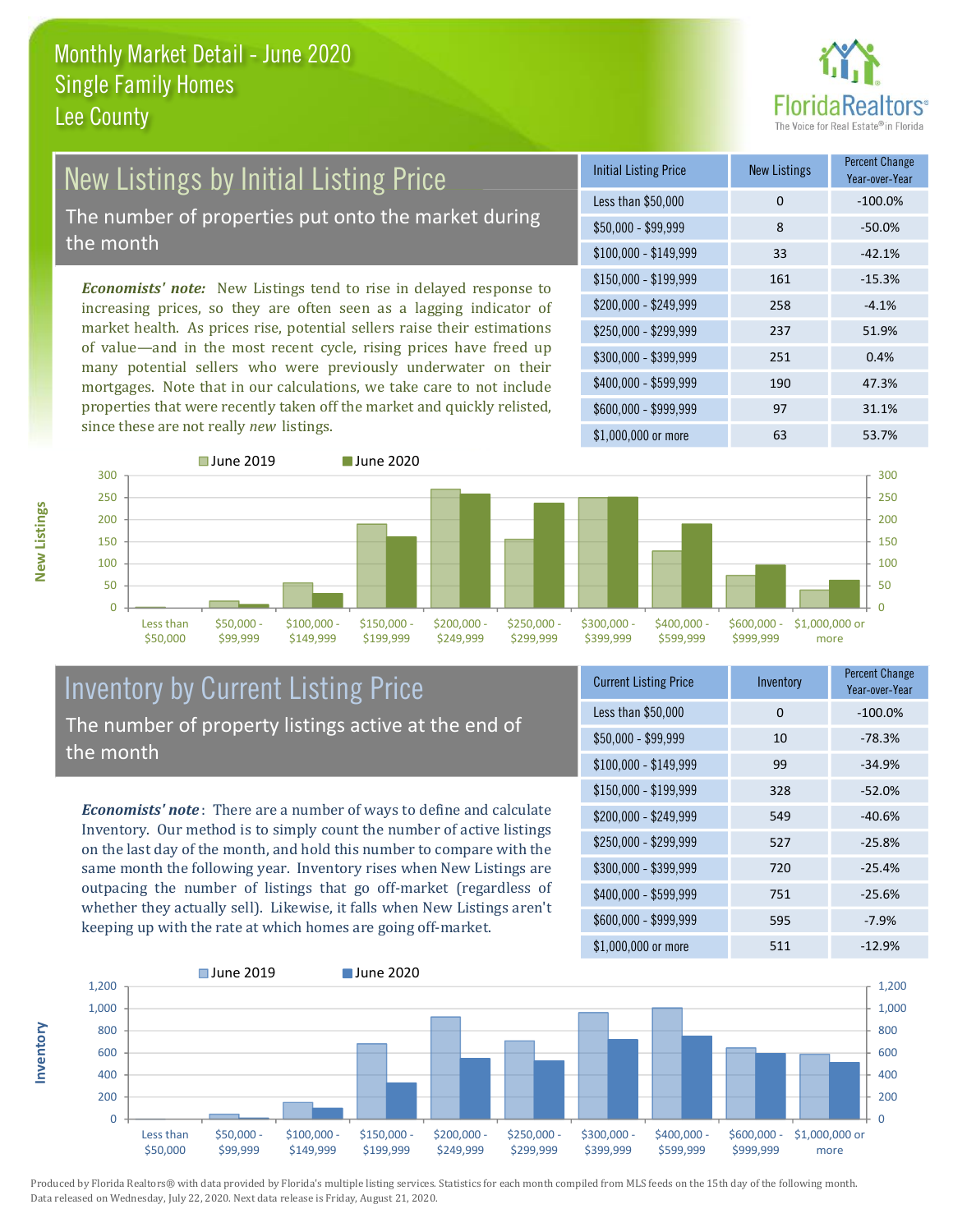

# **New Listings by Initial Listing Price**

The number of properties put onto the market during the month

Economists' note: New Listings tend to rise in delayed response to increasing prices, so they are often seen as a lagging indicator of market health. As prices rise, potential sellers raise their estimations of value—and in the most recent cycle, rising prices have freed up many potential sellers who were previously underwater on their mortgages. Note that in our calculations, we take care to not include properties that were recently taken off the market and quickly relisted, since these are not really new listings.

| <b>Initial Listing Price</b> | <b>New Listings</b> | <b>Percent Change</b><br>Year-over-Year |
|------------------------------|---------------------|-----------------------------------------|
| Less than \$50,000           | 0                   | $-100.0%$                               |
| \$50,000 - \$99,999          | 8                   | $-50.0%$                                |
| $$100,000 - $149,999$        | 33                  | $-42.1%$                                |
| $$150,000 - $199,999$        | 161                 | $-15.3%$                                |
| $$200,000 - $249,999$        | 258                 | $-4.1%$                                 |
| \$250,000 - \$299,999        | 237                 | 51.9%                                   |
| \$300,000 - \$399,999        | 251                 | 0.4%                                    |
| \$400,000 - \$599,999        | 190                 | 47.3%                                   |
| \$600,000 - \$999,999        | 97                  | 31.1%                                   |
| \$1,000,000 or more          | 63                  | 53.7%                                   |



#### **Inventory by Current Listing Price** The number of property listings active at the end of the month

**Economists' note**: There are a number of ways to define and calculate Inventory. Our method is to simply count the number of active listings on the last day of the month, and hold this number to compare with the same month the following year. Inventory rises when New Listings are outpacing the number of listings that go off-market (regardless of whether they actually sell). Likewise, it falls when New Listings aren't keeping up with the rate at which homes are going off-market.

| <b>Current Listing Price</b> | Inventory | Percent Unange<br>Year-over-Year |
|------------------------------|-----------|----------------------------------|
| Less than \$50,000           | 0         | $-100.0%$                        |
| $$50,000 - $99,999$          | 10        | $-78.3%$                         |
| $$100,000 - $149,999$        | 99        | $-34.9%$                         |
| \$150,000 - \$199,999        | 328       | $-52.0%$                         |
| \$200,000 - \$249,999        | 549       | $-40.6%$                         |
| \$250,000 - \$299,999        | 527       | $-25.8%$                         |
| \$300,000 - \$399,999        | 720       | $-25.4%$                         |
| \$400,000 - \$599,999        | 751       | $-25.6%$                         |
| \$600,000 - \$999,999        | 595       | $-7.9%$                          |
| $$1$ 000 000 or more         | 511       | .17 0%                           |



Produced by Florida Realtors® with data provided by Florida's multiple listing services. Statistics for each month compiled from MLS feeds on the 15th day of the following month. Data released on Wednesday, July 22, 2020. Next data release is Friday, August 21, 2020.

nventory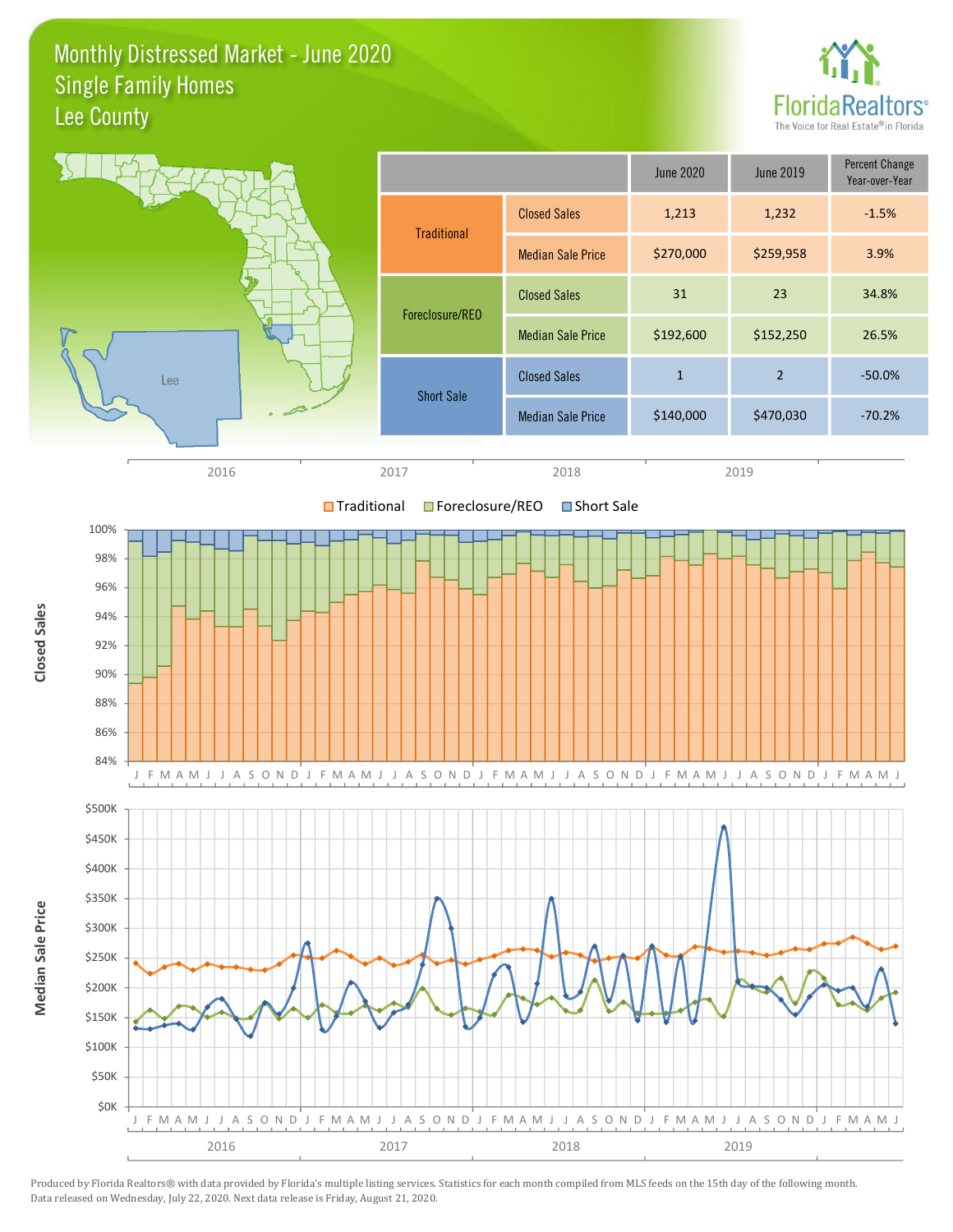Monthly Distressed Market - June 2020 **Single Family Homes** Lee County



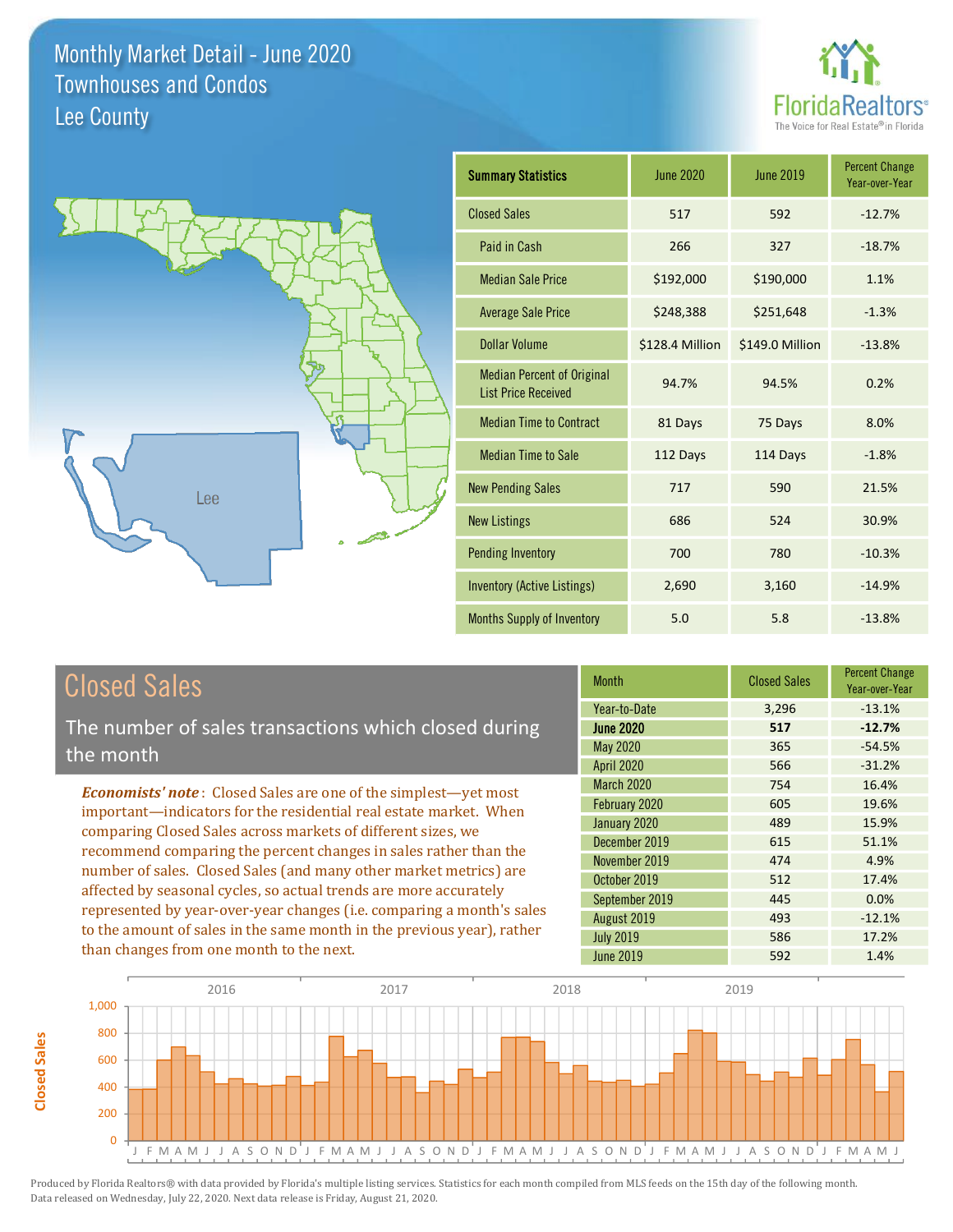



| <b>Summary Statistics</b>                                       | <b>June 2020</b> | June 2019       | <b>Percent Change</b><br>Year-over-Year |
|-----------------------------------------------------------------|------------------|-----------------|-----------------------------------------|
| <b>Closed Sales</b>                                             | 517              | 592             | $-12.7%$                                |
| Paid in Cash                                                    | 266              | 327             | $-18.7%$                                |
| <b>Median Sale Price</b>                                        | \$192,000        | \$190,000       | 1.1%                                    |
| <b>Average Sale Price</b>                                       | \$248,388        | \$251,648       | $-1.3%$                                 |
| Dollar Volume                                                   | \$128.4 Million  | \$149.0 Million | $-13.8%$                                |
| <b>Median Percent of Original</b><br><b>List Price Received</b> | 94.7%            | 94.5%           | 0.2%                                    |
| <b>Median Time to Contract</b>                                  | 81 Days          | 75 Days         | 8.0%                                    |
| <b>Median Time to Sale</b>                                      | 112 Days         | 114 Days        | $-1.8%$                                 |
| <b>New Pending Sales</b>                                        | 717              | 590             | 21.5%                                   |
| <b>New Listings</b>                                             | 686              | 524             | 30.9%                                   |
| <b>Pending Inventory</b>                                        | 700              | 780             | $-10.3%$                                |
| <b>Inventory (Active Listings)</b>                              | 2,690            | 3,160           | $-14.9%$                                |
| Months Supply of Inventory                                      | 5.0              | 5.8             | $-13.8%$                                |

### **Closed Sales**

The number of sales transactions which closed during the month

**Economists' note:** Closed Sales are one of the simplest-yet most important-indicators for the residential real estate market. When comparing Closed Sales across markets of different sizes, we recommend comparing the percent changes in sales rather than the number of sales. Closed Sales (and many other market metrics) are affected by seasonal cycles, so actual trends are more accurately represented by year-over-year changes (i.e. comparing a month's sales to the amount of sales in the same month in the previous year), rather than changes from one month to the next.

| <b>Month</b>      | <b>Closed Sales</b> | <b>Percent Change</b><br>Year-over-Year |
|-------------------|---------------------|-----------------------------------------|
| Year-to-Date      | 3,296               | $-13.1%$                                |
| <b>June 2020</b>  | 517                 | $-12.7%$                                |
| <b>May 2020</b>   | 365                 | $-54.5%$                                |
| <b>April 2020</b> | 566                 | $-31.2%$                                |
| <b>March 2020</b> | 754                 | 16.4%                                   |
| February 2020     | 605                 | 19.6%                                   |
| January 2020      | 489                 | 15.9%                                   |
| December 2019     | 615                 | 51.1%                                   |
| November 2019     | 474                 | 4.9%                                    |
| October 2019      | 512                 | 17.4%                                   |
| September 2019    | 445                 | 0.0%                                    |
| August 2019       | 493                 | $-12.1%$                                |
| <b>July 2019</b>  | 586                 | 17.2%                                   |
| <b>June 2019</b>  | 592                 | 1.4%                                    |

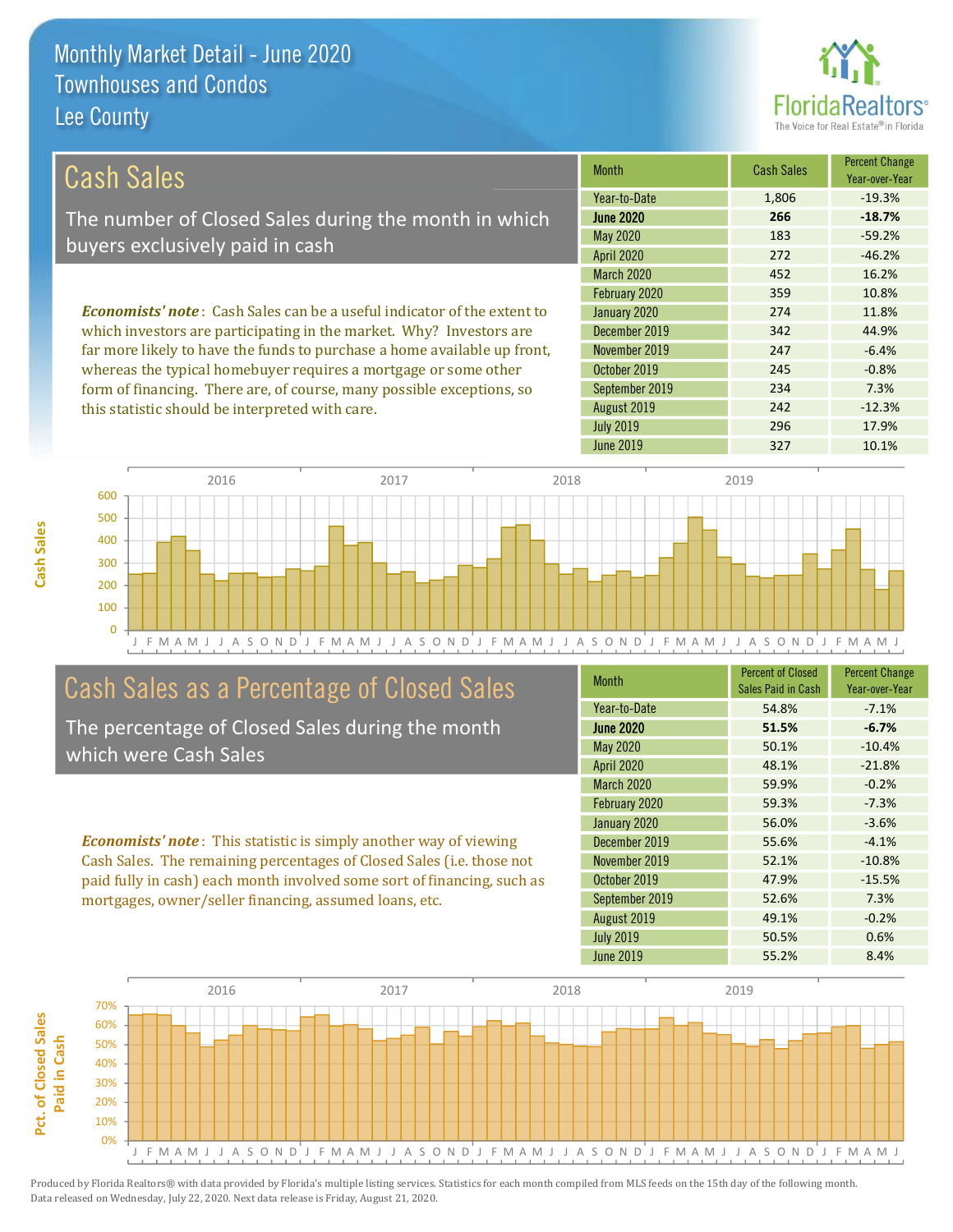

7.3%

 $-12.3%$ 

17.9%

10.1%

| Cash Sales                                                                     | <b>Month</b>      | <b>Cash Sales</b> | <b>Percent Change</b><br>Year-over-Year |
|--------------------------------------------------------------------------------|-------------------|-------------------|-----------------------------------------|
|                                                                                | Year-to-Date      | 1,806             | $-19.3%$                                |
| The number of Closed Sales during the month in which                           | <b>June 2020</b>  | 266               | $-18.7%$                                |
| buyers exclusively paid in cash                                                | May 2020          | 183               | $-59.2%$                                |
|                                                                                | <b>April 2020</b> | 272               | $-46.2%$                                |
|                                                                                | <b>March 2020</b> | 452               | 16.2%                                   |
|                                                                                | February 2020     | 359               | 10.8%                                   |
| <b>Economists' note:</b> Cash Sales can be a useful indicator of the extent to | January 2020      | 274               | 11.8%                                   |
| which investors are participating in the market. Why? Investors are            | December 2019     | 342               | 44.9%                                   |
| far more likely to have the funds to purchase a home available up front,       | November 2019     | 247               | $-6.4%$                                 |
| whereas the typical homebuyer requires a mortgage or some other                | October 2019      | 245               | $-0.8%$                                 |

2016 2017 2018 2019 600 500 400 300 200 100  $\overline{0}$ J F M A M J J A SOND  $\mathsf J$ F M A M J J A S O N D J F M A M J J A S O N D J J A M O N D J J F M A M J

### Cash Sales as a Percentage of Closed Sales

form of financing. There are, of course, many possible exceptions, so

this statistic should be interpreted with care.

The percentage of Closed Sales during the month which were Cash Sales

**Economists' note**: This statistic is simply another way of viewing Cash Sales. The remaining percentages of Closed Sales (i.e. those not paid fully in cash) each month involved some sort of financing, such as mortgages, owner/seller financing, assumed loans, etc.

| <b>Month</b>      | <b>Percent of Closed</b><br>Sales Paid in Cash | <b>Percent Change</b><br>Year-over-Year |
|-------------------|------------------------------------------------|-----------------------------------------|
| Year-to-Date      | 54.8%                                          | $-7.1%$                                 |
| <b>June 2020</b>  | 51.5%                                          | $-6.7%$                                 |
| <b>May 2020</b>   | 50.1%                                          | $-10.4%$                                |
| <b>April 2020</b> | 48.1%                                          | $-21.8%$                                |
| March 2020        | 59.9%                                          | $-0.2%$                                 |
| February 2020     | 59.3%                                          | $-7.3%$                                 |
| January 2020      | 56.0%                                          | $-3.6%$                                 |
| December 2019     | 55.6%                                          | $-4.1%$                                 |
| November 2019     | 52.1%                                          | $-10.8%$                                |
| October 2019      | 47.9%                                          | $-15.5%$                                |
| September 2019    | 52.6%                                          | 7.3%                                    |
| August 2019       | 49.1%                                          | $-0.2%$                                 |
| <b>July 2019</b>  | 50.5%                                          | 0.6%                                    |
| June 2019         | 55.2%                                          | 8.4%                                    |

234

242

296

327

September 2019

August 2019

**July 2019** 

**June 2019** 

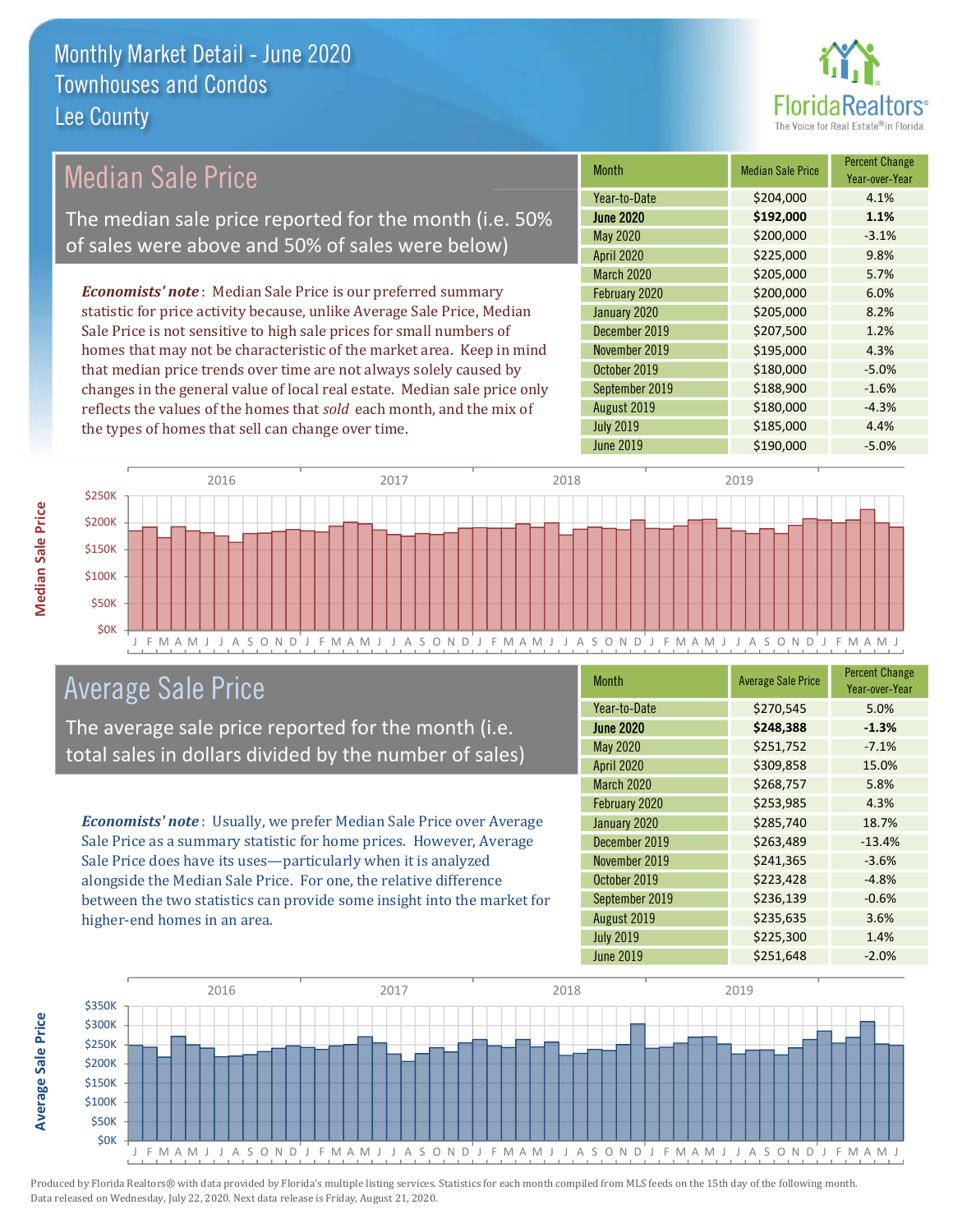

### **Median Sale Price**

The median sale price reported for the month (i.e. 50% of sales were above and 50% of sales were below)

**Economists' note**: Median Sale Price is our preferred summary statistic for price activity because, unlike Average Sale Price, Median Sale Price is not sensitive to high sale prices for small numbers of homes that may not be characteristic of the market area. Keep in mind that median price trends over time are not always solely caused by changes in the general value of local real estate. Median sale price only reflects the values of the homes that sold each month, and the mix of the types of homes that sell can change over time.

| <b>Month</b>      | <b>Median Sale Price</b> | <b>Percent Change</b><br>Year-over-Year |
|-------------------|--------------------------|-----------------------------------------|
| Year-to-Date      | \$204,000                | 4.1%                                    |
| <b>June 2020</b>  | \$192,000                | 1.1%                                    |
| May 2020          | \$200,000                | $-3.1%$                                 |
| <b>April 2020</b> | \$225,000                | 9.8%                                    |
| <b>March 2020</b> | \$205,000                | 5.7%                                    |
| February 2020     | \$200,000                | 6.0%                                    |
| January 2020      | \$205,000                | 8.2%                                    |
| December 2019     | \$207,500                | 1.2%                                    |
| November 2019     | \$195,000                | 4.3%                                    |
| October 2019      | \$180,000                | $-5.0%$                                 |
| September 2019    | \$188,900                | $-1.6%$                                 |
| August 2019       | \$180,000                | $-4.3%$                                 |
| <b>July 2019</b>  | \$185,000                | 4.4%                                    |
| <b>June 2019</b>  | \$190,000                | $-5.0%$                                 |



### **Average Sale Price**

The average sale price reported for the month (i.e. total sales in dollars divided by the number of sales)

Economists' note: Usually, we prefer Median Sale Price over Average Sale Price as a summary statistic for home prices. However, Average Sale Price does have its uses-particularly when it is analyzed alongside the Median Sale Price. For one, the relative difference between the two statistics can provide some insight into the market for higher-end homes in an area.

| <b>Month</b>      | <b>Average Sale Price</b> | <b>Percent Change</b><br>Year-over-Year |
|-------------------|---------------------------|-----------------------------------------|
| Year-to-Date      | \$270,545                 | 5.0%                                    |
| <b>June 2020</b>  | \$248,388                 | $-1.3%$                                 |
| <b>May 2020</b>   | \$251,752                 | $-7.1%$                                 |
| <b>April 2020</b> | \$309,858                 | 15.0%                                   |
| March 2020        | \$268,757                 | 5.8%                                    |
| February 2020     | \$253,985                 | 4.3%                                    |
| January 2020      | \$285,740                 | 18.7%                                   |
| December 2019     | \$263,489                 | $-13.4%$                                |
| November 2019     | \$241,365                 | $-3.6%$                                 |
| October 2019      | \$223,428                 | $-4.8%$                                 |
| September 2019    | \$236,139                 | $-0.6%$                                 |
| August 2019       | \$235,635                 | 3.6%                                    |
| <b>July 2019</b>  | \$225,300                 | 1.4%                                    |
| <b>June 2019</b>  | \$251,648                 | $-2.0%$                                 |



**Average Sale Price**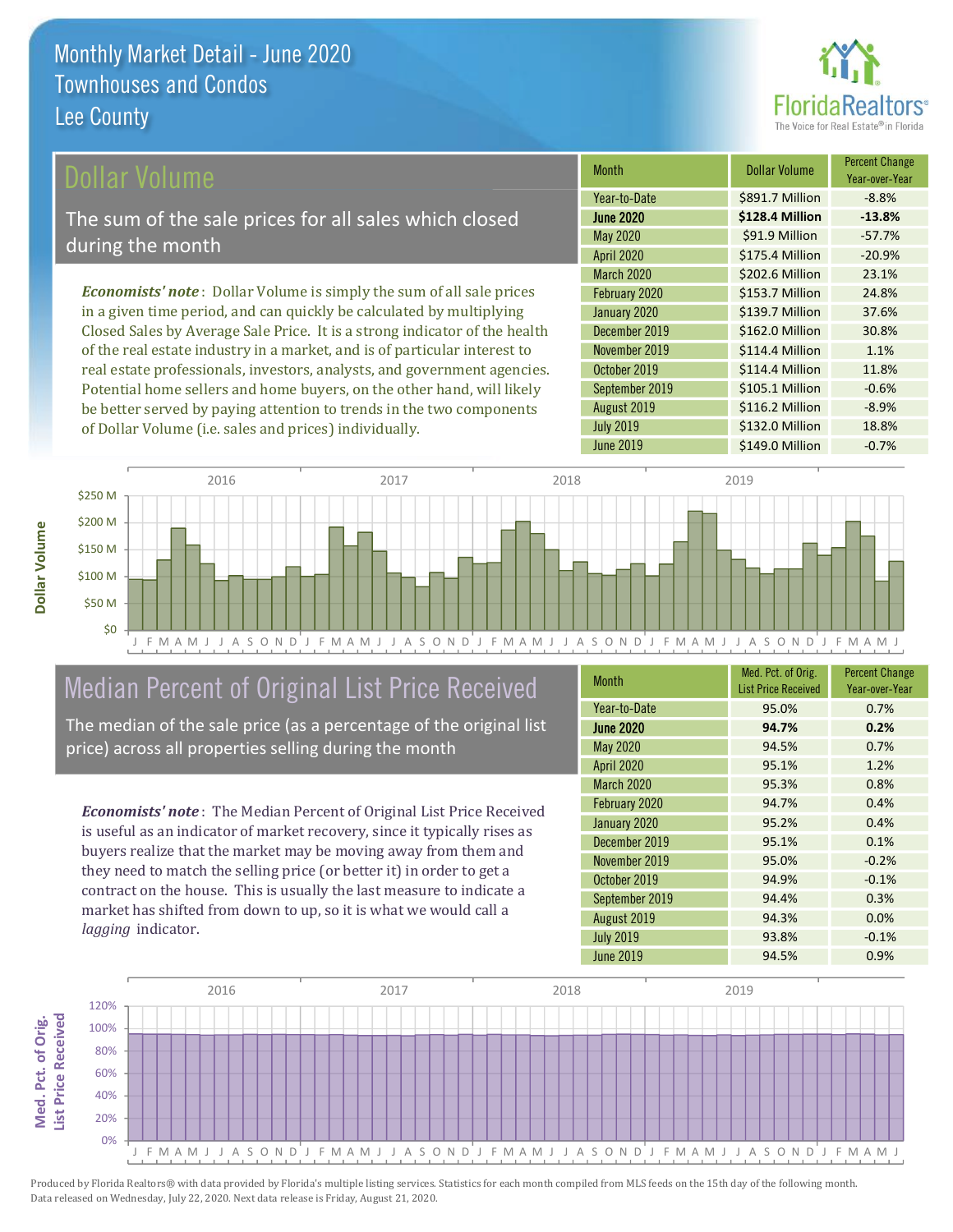

#### ollar Volume

The sum of the sale prices for all sales which closed during the month

**Economists' note**: Dollar Volume is simply the sum of all sale prices in a given time period, and can quickly be calculated by multiplying Closed Sales by Average Sale Price. It is a strong indicator of the health of the real estate industry in a market, and is of particular interest to real estate professionals, investors, analysts, and government agencies. Potential home sellers and home buyers, on the other hand, will likely be better served by paying attention to trends in the two components of Dollar Volume (i.e. sales and prices) individually.

| <b>Month</b>      | Dollar Volume   | <b>Percent Change</b><br>Year-over-Year |
|-------------------|-----------------|-----------------------------------------|
| Year-to-Date      | \$891.7 Million | $-8.8%$                                 |
| <b>June 2020</b>  | \$128.4 Million | $-13.8%$                                |
| May 2020          | \$91.9 Million  | $-57.7%$                                |
| <b>April 2020</b> | \$175.4 Million | $-20.9%$                                |
| <b>March 2020</b> | \$202.6 Million | 23.1%                                   |
| February 2020     | \$153.7 Million | 24.8%                                   |
| January 2020      | \$139.7 Million | 37.6%                                   |
| December 2019     | \$162.0 Million | 30.8%                                   |
| November 2019     | \$114.4 Million | 1.1%                                    |
| October 2019      | \$114.4 Million | 11.8%                                   |
| September 2019    | \$105.1 Million | $-0.6%$                                 |
| August 2019       | \$116.2 Million | $-8.9%$                                 |
| <b>July 2019</b>  | \$132.0 Million | 18.8%                                   |
| <b>June 2019</b>  | \$149.0 Million | $-0.7%$                                 |



### Median Percent of Original List Price Received

The median of the sale price (as a percentage of the original list price) across all properties selling during the month

**Economists' note:** The Median Percent of Original List Price Received is useful as an indicator of market recovery, since it typically rises as buyers realize that the market may be moving away from them and they need to match the selling price (or better it) in order to get a contract on the house. This is usually the last measure to indicate a market has shifted from down to up, so it is what we would call a lagging indicator.

| <b>Month</b>      | Med. Pct. of Orig.<br><b>List Price Received</b> | <b>Percent Change</b><br>Year-over-Year |
|-------------------|--------------------------------------------------|-----------------------------------------|
| Year-to-Date      | 95.0%                                            | 0.7%                                    |
| <b>June 2020</b>  | 94.7%                                            | 0.2%                                    |
| <b>May 2020</b>   | 94.5%                                            | 0.7%                                    |
| <b>April 2020</b> | 95.1%                                            | 1.2%                                    |
| <b>March 2020</b> | 95.3%                                            | 0.8%                                    |
| February 2020     | 94.7%                                            | 0.4%                                    |
| January 2020      | 95.2%                                            | 0.4%                                    |
| December 2019     | 95.1%                                            | 0.1%                                    |
| November 2019     | 95.0%                                            | $-0.2%$                                 |
| October 2019      | 94.9%                                            | $-0.1%$                                 |
| September 2019    | 94.4%                                            | 0.3%                                    |
| August 2019       | 94.3%                                            | 0.0%                                    |
| <b>July 2019</b>  | 93.8%                                            | $-0.1%$                                 |
| June 2019         | 94.5%                                            | 0.9%                                    |

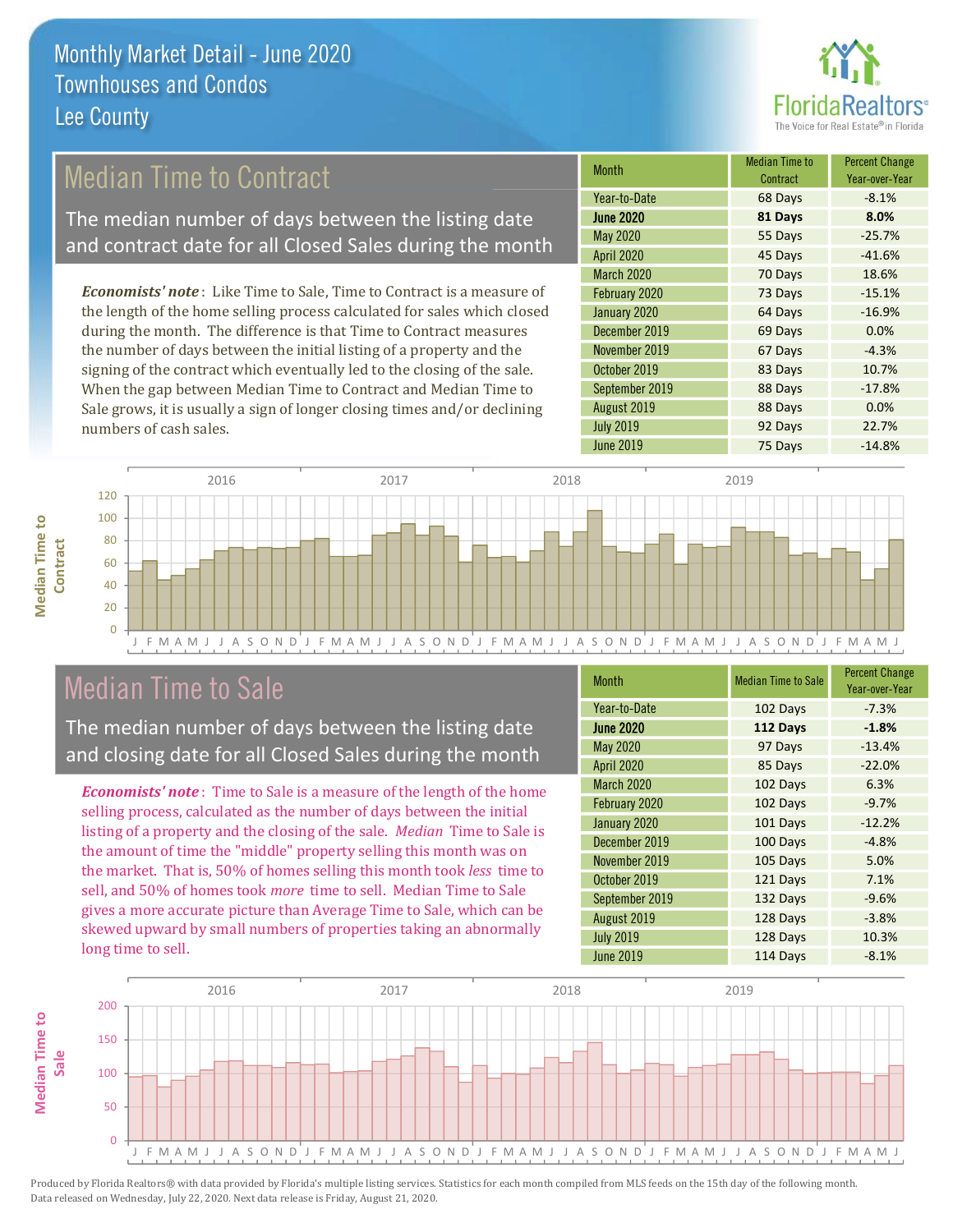

### **Median Time to Contract**

The median number of days between the listing date and contract date for all Closed Sales during the month

**Economists' note:** Like Time to Sale, Time to Contract is a measure of the length of the home selling process calculated for sales which closed during the month. The difference is that Time to Contract measures the number of days between the initial listing of a property and the signing of the contract which eventually led to the closing of the sale. When the gap between Median Time to Contract and Median Time to Sale grows, it is usually a sign of longer closing times and/or declining numbers of cash sales.

| Month             | <b>Median Time to</b><br>Contract | <b>Percent Change</b><br>Year-over-Year |
|-------------------|-----------------------------------|-----------------------------------------|
| Year-to-Date      | 68 Days                           | $-8.1%$                                 |
| <b>June 2020</b>  | 81 Days                           | 8.0%                                    |
| May 2020          | 55 Days                           | $-25.7%$                                |
| April 2020        | 45 Days                           | $-41.6%$                                |
| <b>March 2020</b> | 70 Days                           | 18.6%                                   |
| February 2020     | 73 Days                           | $-15.1%$                                |
| January 2020      | 64 Days                           | $-16.9%$                                |
| December 2019     | 69 Days                           | 0.0%                                    |
| November 2019     | 67 Days                           | $-4.3%$                                 |
| October 2019      | 83 Days                           | 10.7%                                   |
| September 2019    | 88 Days                           | $-17.8%$                                |
| August 2019       | 88 Days                           | 0.0%                                    |
| <b>July 2019</b>  | 92 Days                           | 22.7%                                   |
| June 2019         | 75 Days                           | $-14.8%$                                |



### **Median Time to Sale**

**Median Time to** 

Contract

The median number of days between the listing date and closing date for all Closed Sales during the month

**Economists' note**: Time to Sale is a measure of the length of the home selling process, calculated as the number of days between the initial listing of a property and the closing of the sale. Median Time to Sale is the amount of time the "middle" property selling this month was on the market. That is, 50% of homes selling this month took less time to sell, and 50% of homes took *more* time to sell. Median Time to Sale gives a more accurate picture than Average Time to Sale, which can be skewed upward by small numbers of properties taking an abnormally long time to sell.

| <b>Month</b>      | <b>Median Time to Sale</b> | <b>Percent Change</b><br>Year-over-Year |
|-------------------|----------------------------|-----------------------------------------|
| Year-to-Date      | 102 Days                   | $-7.3%$                                 |
| <b>June 2020</b>  | 112 Days                   | $-1.8%$                                 |
| <b>May 2020</b>   | 97 Days                    | $-13.4%$                                |
| <b>April 2020</b> | 85 Days                    | $-22.0%$                                |
| <b>March 2020</b> | 102 Days                   | 6.3%                                    |
| February 2020     | 102 Days                   | $-9.7%$                                 |
| January 2020      | 101 Days                   | $-12.2%$                                |
| December 2019     | 100 Days                   | $-4.8%$                                 |
| November 2019     | 105 Days                   | 5.0%                                    |
| October 2019      | 121 Days                   | 7.1%                                    |
| September 2019    | 132 Days                   | $-9.6%$                                 |
| August 2019       | 128 Days                   | $-3.8%$                                 |
| <b>July 2019</b>  | 128 Days                   | 10.3%                                   |
| <b>June 2019</b>  | 114 Days                   | $-8.1%$                                 |

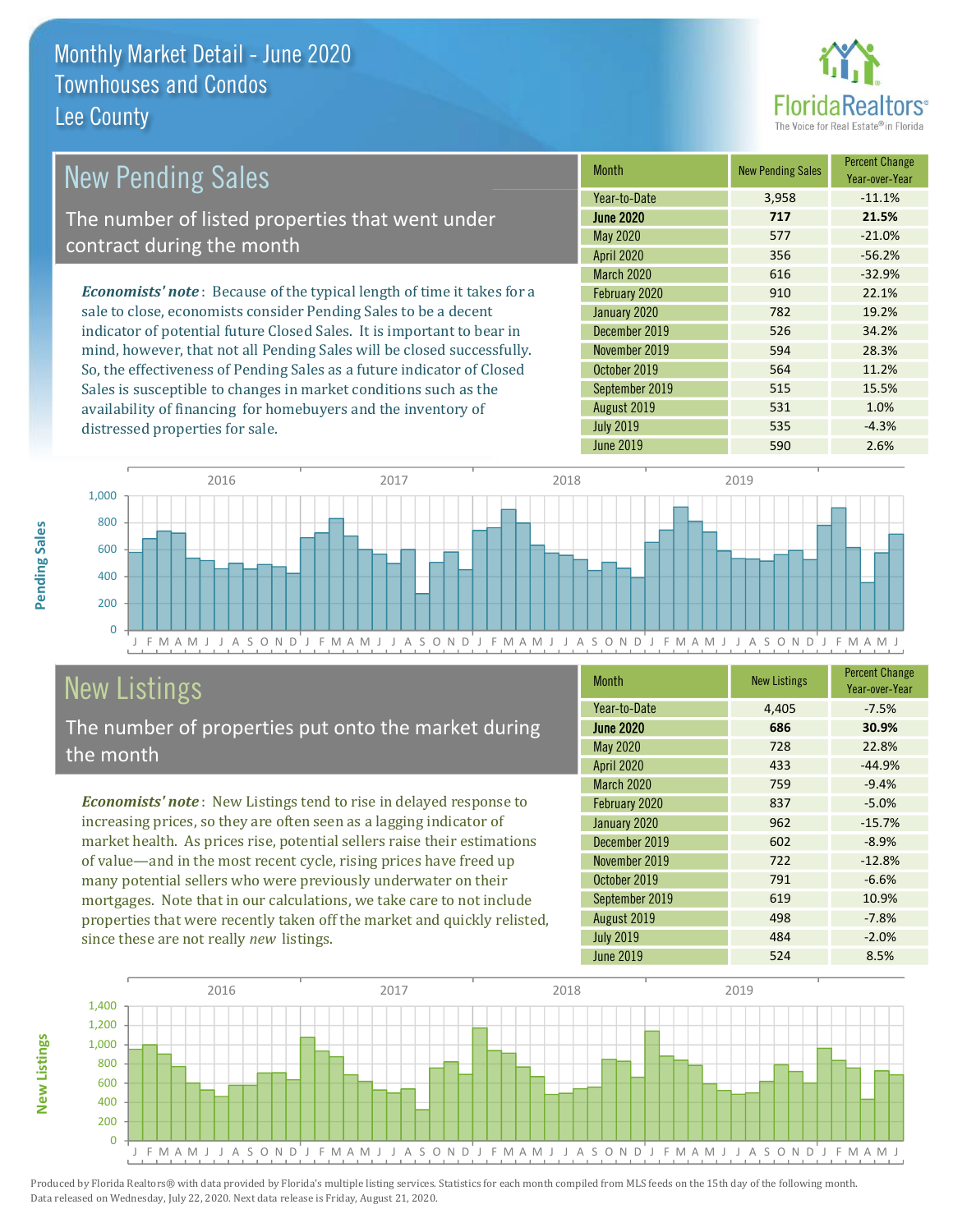distressed properties for sale.



1.0%

 $-4.3%$ 

#### **Percent Change New Pending Sales New Pending Sales Month** Year-over-Year Year-to-Date 3,958  $-11.1%$ The number of listed properties that went under **June 2020** 21.5% 717 May 2020 577  $-21.0%$ contract during the month **April 2020** 356  $-56.2%$ March 2020 616  $-32.9%$ **Economists' note:** Because of the typical length of time it takes for a February 2020 910 22.1% sale to close, economists consider Pending Sales to be a decent January 2020 782 19.2% indicator of potential future Closed Sales. It is important to bear in December 2019 526 34.2% mind, however, that not all Pending Sales will be closed successfully. November 2019 594 28.3% So, the effectiveness of Pending Sales as a future indicator of Closed October 2019 564 11.2% Sales is susceptible to changes in market conditions such as the September 2019 515 15.5%

August 2019

**July 2019** 



### **New Listings**

The number of properties put onto the market during the month

availability of financing for homebuyers and the inventory of

**Economists' note:** New Listings tend to rise in delayed response to increasing prices, so they are often seen as a lagging indicator of market health. As prices rise, potential sellers raise their estimations of value—and in the most recent cycle, rising prices have freed up many potential sellers who were previously underwater on their mortgages. Note that in our calculations, we take care to not include properties that were recently taken off the market and quickly relisted, since these are not really new listings.

| <b>Month</b>      | <b>New Listings</b> | <b>Percent Change</b><br>Year-over-Year |
|-------------------|---------------------|-----------------------------------------|
| Year-to-Date      | 4,405               | $-7.5%$                                 |
| <b>June 2020</b>  | 686                 | 30.9%                                   |
| <b>May 2020</b>   | 728                 | 22.8%                                   |
| <b>April 2020</b> | 433                 | $-44.9%$                                |
| March 2020        | 759                 | $-9.4%$                                 |
| February 2020     | 837                 | $-5.0%$                                 |
| January 2020      | 962                 | $-15.7%$                                |
| December 2019     | 602                 | $-8.9%$                                 |
| November 2019     | 722                 | $-12.8%$                                |
| October 2019      | 791                 | $-6.6%$                                 |
| September 2019    | 619                 | 10.9%                                   |
| August 2019       | 498                 | $-7.8%$                                 |
| <b>July 2019</b>  | 484                 | $-2.0%$                                 |
| <b>June 2019</b>  | 524                 | 8.5%                                    |

531

535

590



Produced by Florida Realtors® with data provided by Florida's multiple listing services. Statistics for each month compiled from MLS feeds on the 15th day of the following month. Data released on Wednesday, July 22, 2020. Next data release is Friday, August 21, 2020.

**Vew Listings**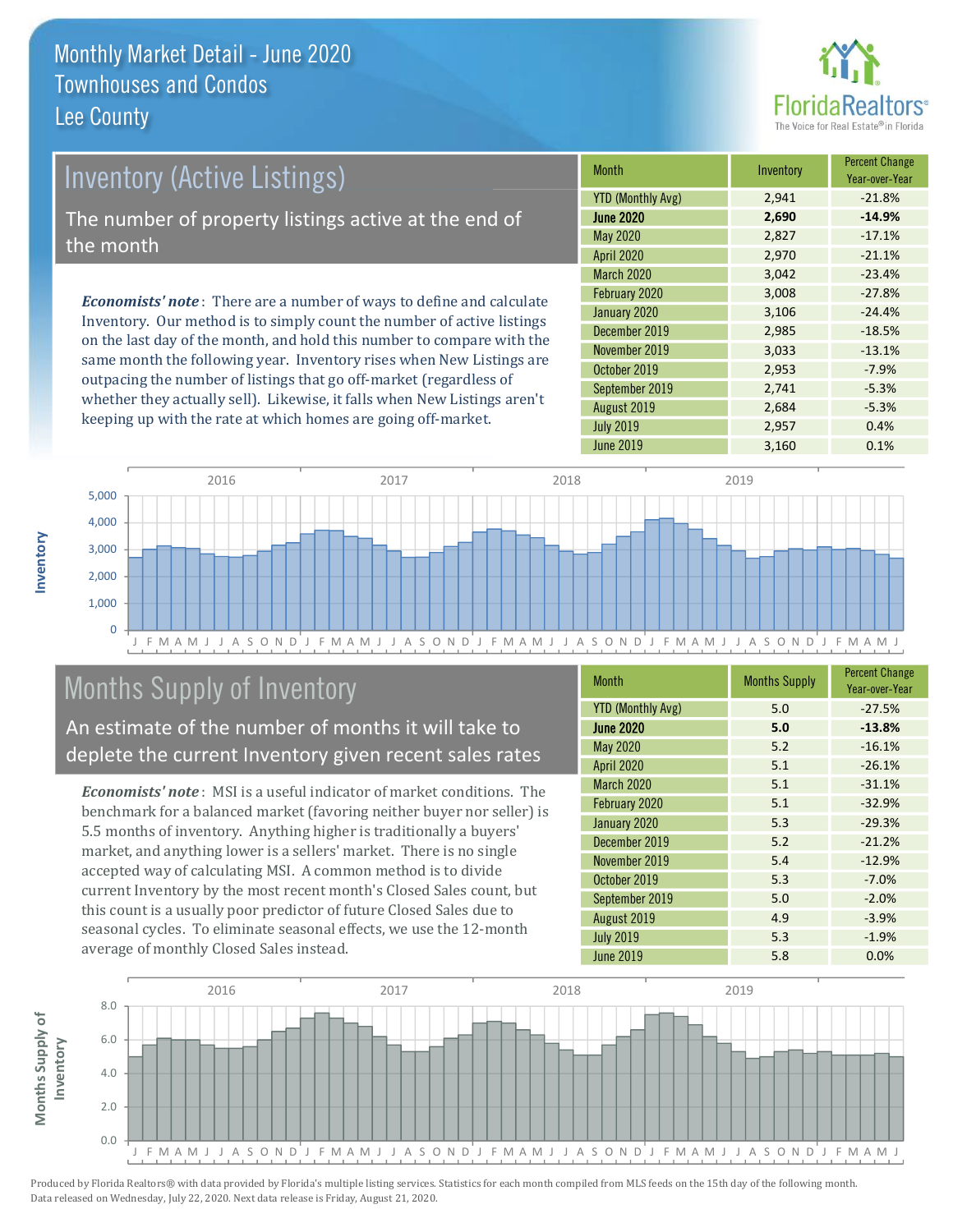

### **Inventory (Active Listings)**

The number of property listings active at the end of the month

**Economists' note:** There are a number of ways to define and calculate Inventory. Our method is to simply count the number of active listings on the last day of the month, and hold this number to compare with the same month the following year. Inventory rises when New Listings are outpacing the number of listings that go off-market (regardless of whether they actually sell). Likewise, it falls when New Listings aren't keeping up with the rate at which homes are going off-market.

| <b>Month</b>             | Inventory | <b>Percent Change</b><br>Year-over-Year |
|--------------------------|-----------|-----------------------------------------|
| <b>YTD (Monthly Avg)</b> | 2,941     | $-21.8%$                                |
| <b>June 2020</b>         | 2,690     | $-14.9%$                                |
| May 2020                 | 2,827     | $-17.1%$                                |
| <b>April 2020</b>        | 2,970     | $-21.1%$                                |
| <b>March 2020</b>        | 3,042     | $-23.4%$                                |
| February 2020            | 3,008     | $-27.8%$                                |
| January 2020             | 3,106     | $-24.4%$                                |
| December 2019            | 2,985     | $-18.5%$                                |
| November 2019            | 3,033     | $-13.1%$                                |
| October 2019             | 2,953     | $-7.9%$                                 |
| September 2019           | 2,741     | $-5.3%$                                 |
| August 2019              | 2,684     | $-5.3%$                                 |
| <b>July 2019</b>         | 2,957     | 0.4%                                    |
| <b>June 2019</b>         | 3,160     | 0.1%                                    |



### Months Supply of Inventory

An estimate of the number of months it will take to deplete the current Inventory given recent sales rates

**Economists' note**: MSI is a useful indicator of market conditions. The benchmark for a balanced market (favoring neither buyer nor seller) is 5.5 months of inventory. Anything higher is traditionally a buyers' market, and anything lower is a sellers' market. There is no single accepted way of calculating MSI. A common method is to divide current Inventory by the most recent month's Closed Sales count, but this count is a usually poor predictor of future Closed Sales due to seasonal cycles. To eliminate seasonal effects, we use the 12-month average of monthly Closed Sales instead.

| <b>Month</b>             | <b>Months Supply</b> | <b>Percent Change</b><br>Year-over-Year |
|--------------------------|----------------------|-----------------------------------------|
| <b>YTD (Monthly Avg)</b> | 5.0                  | $-27.5%$                                |
| <b>June 2020</b>         | 5.0                  | $-13.8%$                                |
| May 2020                 | 5.2                  | $-16.1%$                                |
| <b>April 2020</b>        | 5.1                  | $-26.1%$                                |
| <b>March 2020</b>        | 5.1                  | $-31.1%$                                |
| February 2020            | 5.1                  | $-32.9%$                                |
| January 2020             | 5.3                  | $-29.3%$                                |
| December 2019            | 5.2                  | $-21.2%$                                |
| November 2019            | 5.4                  | $-12.9%$                                |
| October 2019             | 5.3                  | $-7.0%$                                 |
| September 2019           | 5.0                  | $-2.0%$                                 |
| August 2019              | 4.9                  | $-3.9%$                                 |
| <b>July 2019</b>         | 5.3                  | $-1.9%$                                 |
| <b>June 2019</b>         | 5.8                  | 0.0%                                    |

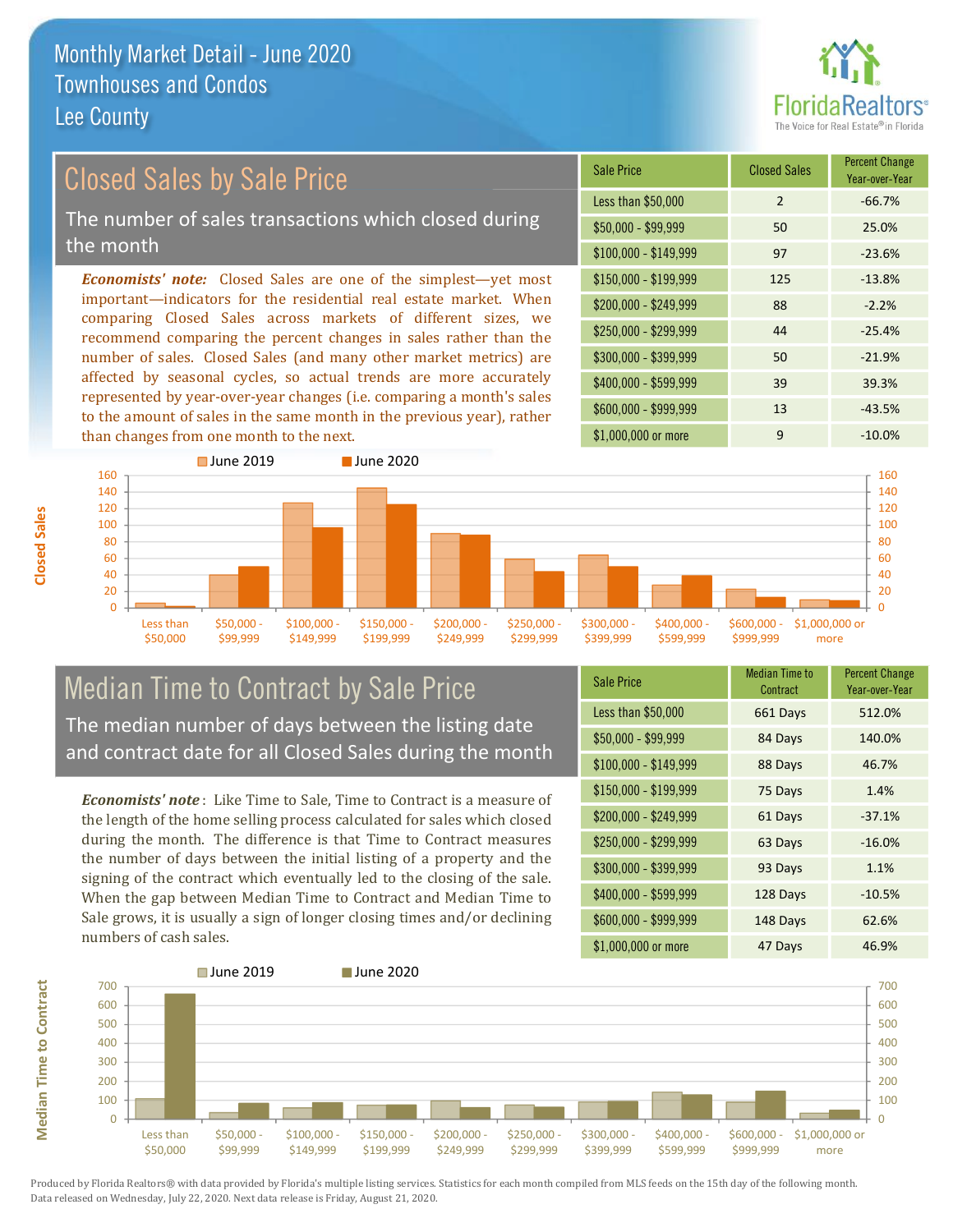

### **Closed Sales by Sale Price**

The number of sales transactions which closed during the month

**Economists' note:** Closed Sales are one of the simplest—yet most important-indicators for the residential real estate market. When comparing Closed Sales across markets of different sizes, we recommend comparing the percent changes in sales rather than the number of sales. Closed Sales (and many other market metrics) are affected by seasonal cycles, so actual trends are more accurately represented by year-over-year changes (i.e. comparing a month's sales to the amount of sales in the same month in the previous year), rather than changes from one month to the next.

| Sale Price            | <b>Closed Sales</b> | <b>Percent Change</b><br>Year-over-Year |
|-----------------------|---------------------|-----------------------------------------|
| Less than \$50,000    | 2                   | $-66.7%$                                |
| $$50,000 - $99,999$   | 50                  | 25.0%                                   |
| $$100,000 - $149,999$ | 97                  | $-23.6%$                                |
| \$150,000 - \$199,999 | 125                 | $-13.8%$                                |
| \$200,000 - \$249,999 | 88                  | $-2.2%$                                 |
| \$250,000 - \$299,999 | 44                  | $-25.4%$                                |
| \$300,000 - \$399,999 | 50                  | $-21.9%$                                |
| \$400,000 - \$599,999 | 39                  | 39.3%                                   |
| \$600,000 - \$999,999 | 13                  | $-43.5%$                                |
| \$1,000,000 or more   | 9                   | $-10.0\%$                               |



#### **Median Time to Contract by Sale Price** The median number of days between the listing date and contract date for all Closed Sales during the month

**Economists' note**: Like Time to Sale. Time to Contract is a measure of the length of the home selling process calculated for sales which closed during the month. The difference is that Time to Contract measures the number of days between the initial listing of a property and the signing of the contract which eventually led to the closing of the sale. When the gap between Median Time to Contract and Median Time to Sale grows, it is usually a sign of longer closing times and/or declining numbers of cash sales.

| <b>Sale Price</b>     | Median Time to<br>Contract | Percent Unange<br>Year-over-Year |
|-----------------------|----------------------------|----------------------------------|
| Less than \$50,000    | 661 Days                   | 512.0%                           |
| $$50,000 - $99,999$   | 84 Days                    | 140.0%                           |
| $$100,000 - $149,999$ | 88 Days                    | 46.7%                            |
| $$150,000 - $199,999$ | 75 Days                    | 1.4%                             |
| $$200,000 - $249,999$ | 61 Days                    | $-37.1%$                         |
| \$250,000 - \$299,999 | 63 Days                    | $-16.0%$                         |
| \$300,000 - \$399,999 | 93 Days                    | 1.1%                             |
| \$400,000 - \$599,999 | 128 Days                   | $-10.5%$                         |
| \$600,000 - \$999,999 | 148 Days                   | 62.6%                            |
| \$1,000,000 or more   | 47 Davs                    | 46.9%                            |



**Closed Sales**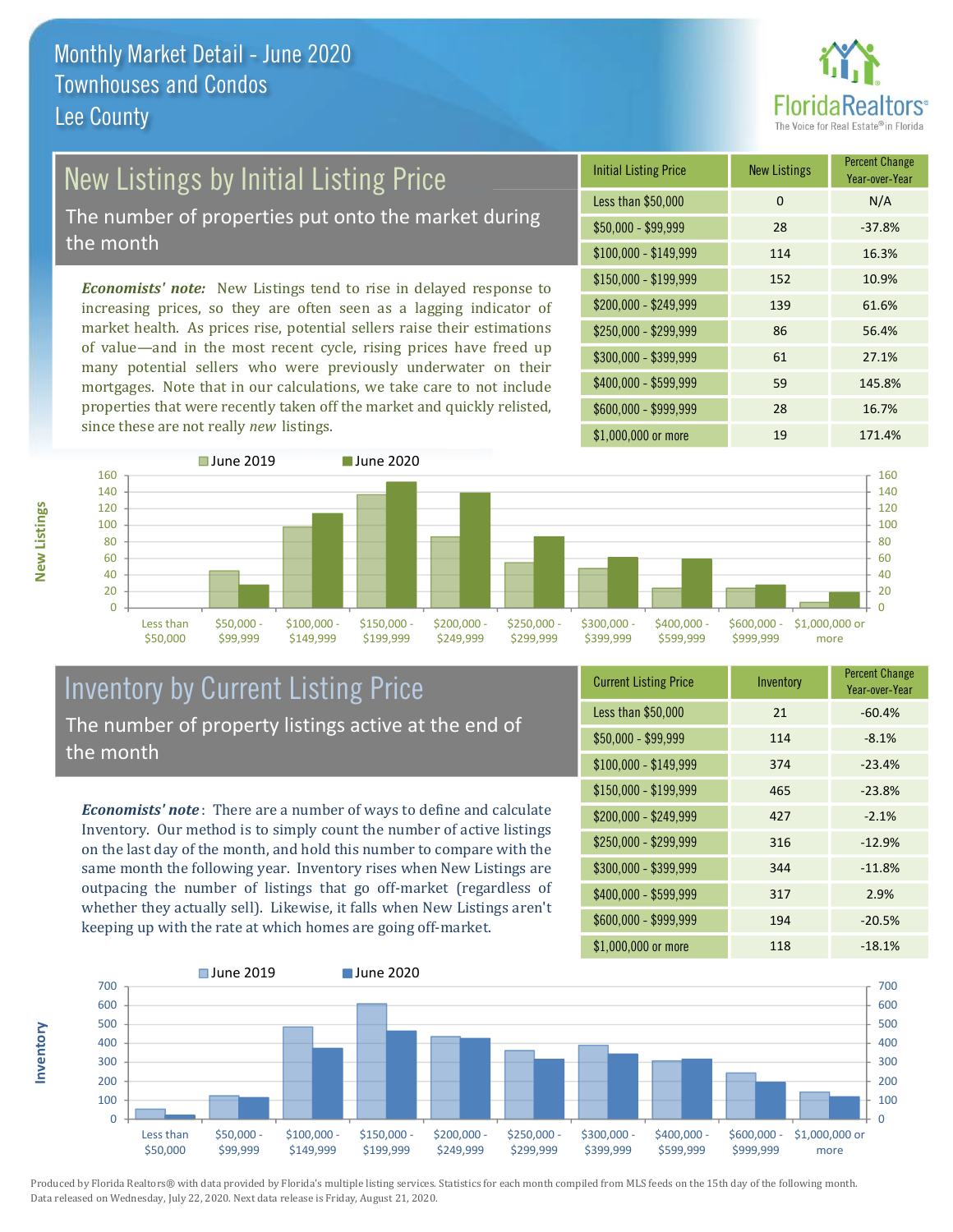

## New Listings by Initial Listing Price

The number of properties put onto the market during the month

Economists' note: New Listings tend to rise in delayed response to increasing prices, so they are often seen as a lagging indicator of market health. As prices rise, potential sellers raise their estimations of value—and in the most recent cycle, rising prices have freed up many potential sellers who were previously underwater on their mortgages. Note that in our calculations, we take care to not include properties that were recently taken off the market and quickly relisted, since these are not really new listings.





#### **Inventory by Current Listing Price** The number of property listings active at the end of the month

**Economists' note**: There are a number of ways to define and calculate Inventory. Our method is to simply count the number of active listings on the last day of the month, and hold this number to compare with the same month the following year. Inventory rises when New Listings are outpacing the number of listings that go off-market (regardless of whether they actually sell). Likewise, it falls when New Listings aren't keeping up with the rate at which homes are going off-market.

| <b>Current Listing Price</b> | Inventory | <b>FULLE UPPER</b><br>Year-over-Year |
|------------------------------|-----------|--------------------------------------|
| Less than \$50,000           | 21        | $-60.4%$                             |
| $$50,000 - $99,999$          | 114       | $-8.1%$                              |
| $$100,000 - $149,999$        | 374       | $-23.4%$                             |
| $$150,000 - $199,999$        | 465       | $-23.8%$                             |
| \$200,000 - \$249,999        | 427       | $-2.1%$                              |
| \$250,000 - \$299,999        | 316       | $-12.9%$                             |
| \$300,000 - \$399,999        | 344       | $-11.8%$                             |
| \$400,000 - \$599,999        | 317       | 2.9%                                 |
| \$600,000 - \$999,999        | 194       | $-20.5%$                             |
| \$1,000,000 or more          | 118       | $-18.1\%$                            |



Produced by Florida Realtors® with data provided by Florida's multiple listing services. Statistics for each month compiled from MLS feeds on the 15th day of the following month. Data released on Wednesday, July 22, 2020. Next data release is Friday, August 21, 2020.

nventory